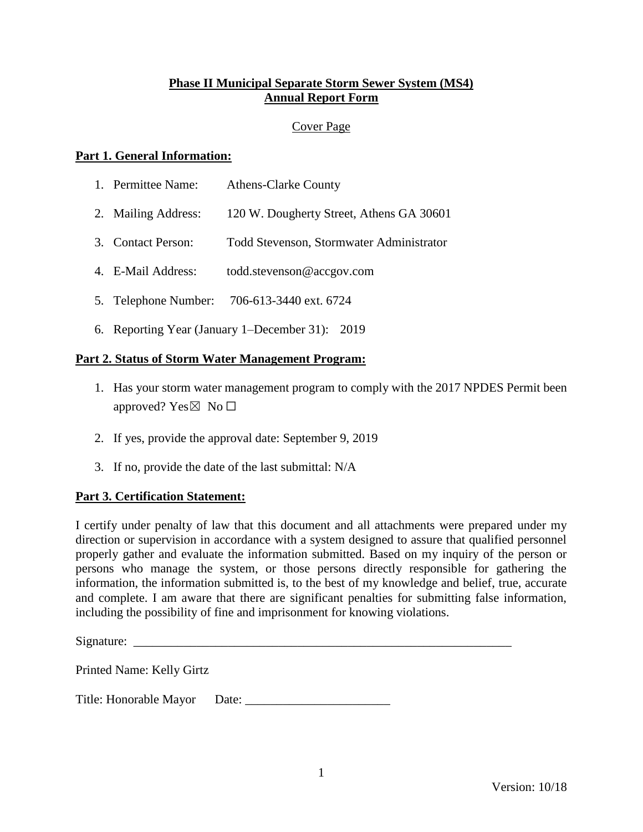# **Phase II Municipal Separate Storm Sewer System (MS4) Annual Report Form**

### Cover Page

### **Part 1. General Information:**

| 1. | Permittee Name: | <b>Athens-Clarke County</b> |
|----|-----------------|-----------------------------|
|    |                 |                             |

- 2. Mailing Address: 120 W. Dougherty Street, Athens GA 30601
- 3. Contact Person: Todd Stevenson, Stormwater Administrator
- 4. E-Mail Address: todd.stevenson@accgov.com
- 5. Telephone Number: 706-613-3440 ext. 6724
- 6. Reporting Year (January 1–December 31): 2019

#### **Part 2. Status of Storm Water Management Program:**

- 1. Has your storm water management program to comply with the 2017 NPDES Permit been approved? Yes $\boxtimes$  No  $\square$
- 2. If yes, provide the approval date: September 9, 2019
- 3. If no, provide the date of the last submittal: N/A

#### **Part 3. Certification Statement:**

I certify under penalty of law that this document and all attachments were prepared under my direction or supervision in accordance with a system designed to assure that qualified personnel properly gather and evaluate the information submitted. Based on my inquiry of the person or persons who manage the system, or those persons directly responsible for gathering the information, the information submitted is, to the best of my knowledge and belief, true, accurate and complete. I am aware that there are significant penalties for submitting false information, including the possibility of fine and imprisonment for knowing violations.

Signature:

Printed Name: Kelly Girtz

Title: Honorable Mayor Date: \_\_\_\_\_\_\_\_\_\_\_\_\_\_\_\_\_\_\_\_\_\_\_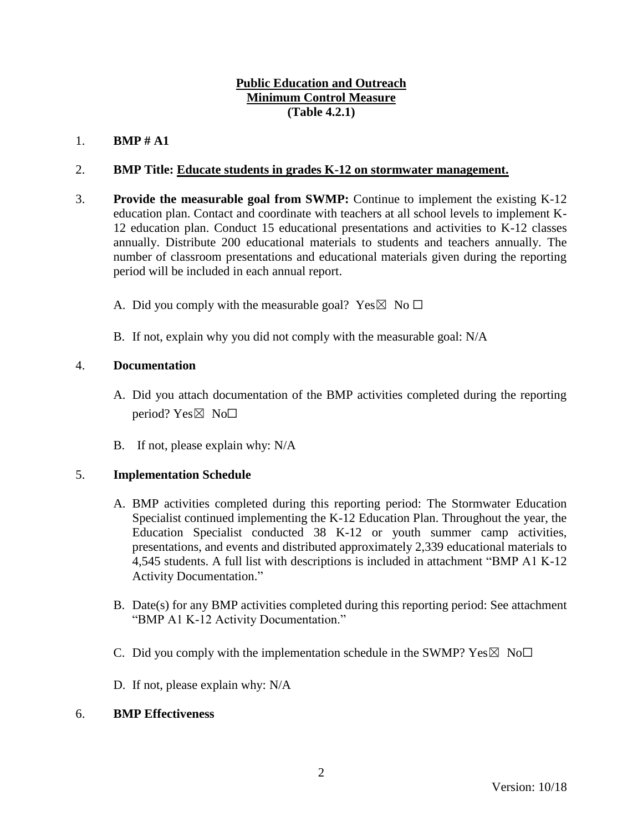# **Public Education and Outreach Minimum Control Measure (Table 4.2.1)**

# 1. **BMP # A1**

## 2. **BMP Title: Educate students in grades K-12 on stormwater management.**

- 3. **Provide the measurable goal from SWMP:** Continue to implement the existing K-12 education plan. Contact and coordinate with teachers at all school levels to implement K-12 education plan. Conduct 15 educational presentations and activities to K-12 classes annually. Distribute 200 educational materials to students and teachers annually. The number of classroom presentations and educational materials given during the reporting period will be included in each annual report.
	- A. Did you comply with the measurable goal? Yes  $\boxtimes$  No  $\Box$
	- B. If not, explain why you did not comply with the measurable goal: N/A

### 4. **Documentation**

- A. Did you attach documentation of the BMP activities completed during the reporting period? Yes $\boxtimes$  No $\square$
- B. If not, please explain why: N/A

# 5. **Implementation Schedule**

- A. BMP activities completed during this reporting period: The Stormwater Education Specialist continued implementing the K-12 Education Plan. Throughout the year, the Education Specialist conducted 38 K-12 or youth summer camp activities, presentations, and events and distributed approximately 2,339 educational materials to 4,545 students. A full list with descriptions is included in attachment "BMP A1 K-12 Activity Documentation."
- B. Date(s) for any BMP activities completed during this reporting period: See attachment "BMP A1 K-12 Activity Documentation."
- C. Did you comply with the implementation schedule in the SWMP?  $Yes \boxtimes No \Box$
- D. If not, please explain why: N/A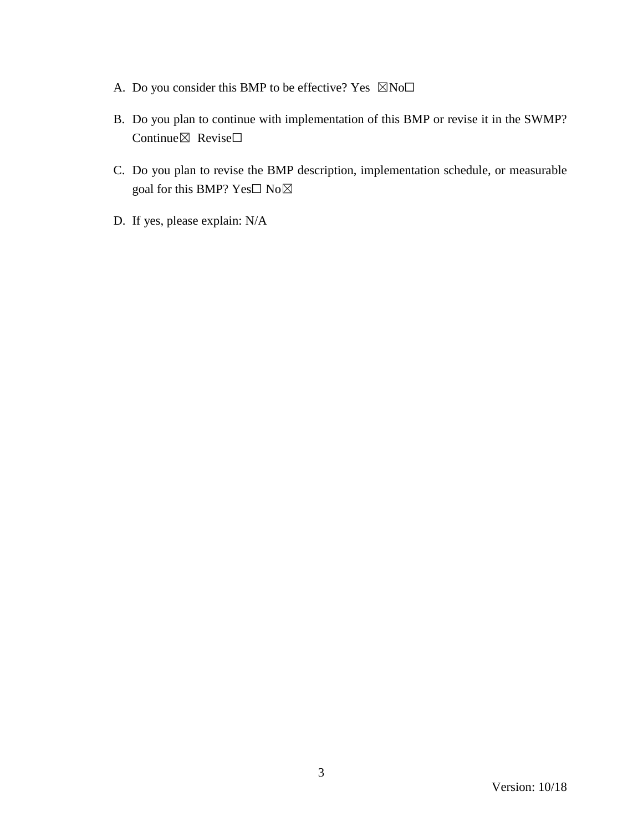- A. Do you consider this BMP to be effective? Yes  $\boxtimes$ No $\square$
- B. Do you plan to continue with implementation of this BMP or revise it in the SWMP? Continue⊠ Revise□
- C. Do you plan to revise the BMP description, implementation schedule, or measurable goal for this BMP? Yes□ No⊠
- D. If yes, please explain: N/A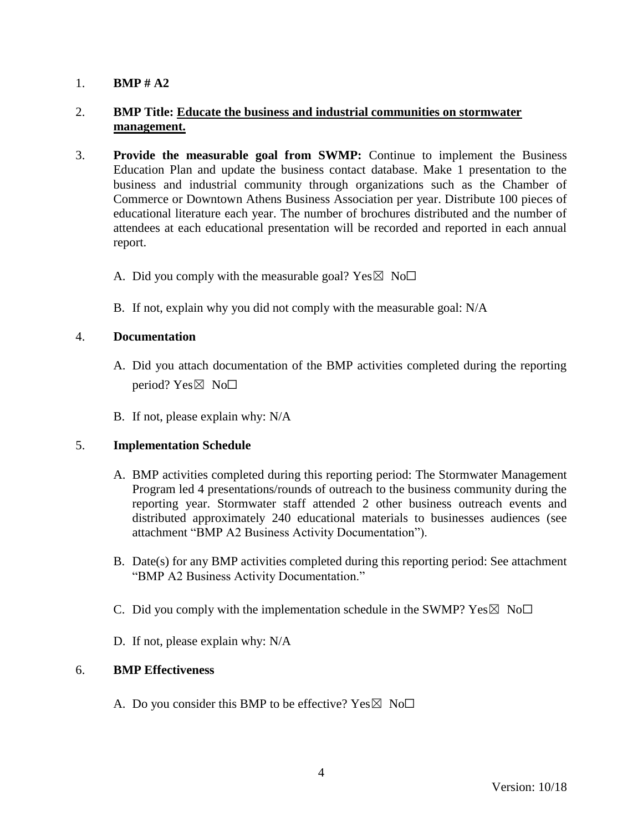# 2. **BMP Title: Educate the business and industrial communities on stormwater management.**

- 3. **Provide the measurable goal from SWMP:** Continue to implement the Business Education Plan and update the business contact database. Make 1 presentation to the business and industrial community through organizations such as the Chamber of Commerce or Downtown Athens Business Association per year. Distribute 100 pieces of educational literature each year. The number of brochures distributed and the number of attendees at each educational presentation will be recorded and reported in each annual report.
	- A. Did you comply with the measurable goal? Yes  $\boxtimes$  No $\Box$
	- B. If not, explain why you did not comply with the measurable goal: N/A

# 4. **Documentation**

- A. Did you attach documentation of the BMP activities completed during the reporting period? Yes $\boxtimes$  No $\square$
- B. If not, please explain why: N/A

#### 5. **Implementation Schedule**

- A. BMP activities completed during this reporting period: The Stormwater Management Program led 4 presentations/rounds of outreach to the business community during the reporting year. Stormwater staff attended 2 other business outreach events and distributed approximately 240 educational materials to businesses audiences (see attachment "BMP A2 Business Activity Documentation").
- B. Date(s) for any BMP activities completed during this reporting period: See attachment "BMP A2 Business Activity Documentation."
- C. Did you comply with the implementation schedule in the SWMP?  $Yes \boxtimes No \Box$
- D. If not, please explain why: N/A

#### 6. **BMP Effectiveness**

A. Do you consider this BMP to be effective? Yes  $\boxtimes$  No $\Box$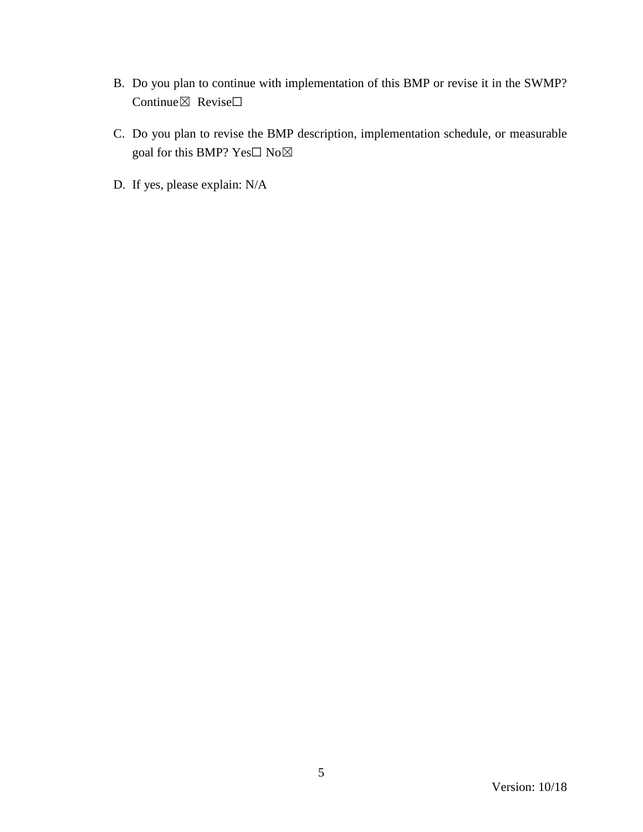- B. Do you plan to continue with implementation of this BMP or revise it in the SWMP? Continue⊠ Revise□
- C. Do you plan to revise the BMP description, implementation schedule, or measurable goal for this BMP? Yes $\Box$  No $\boxtimes$
- D. If yes, please explain: N/A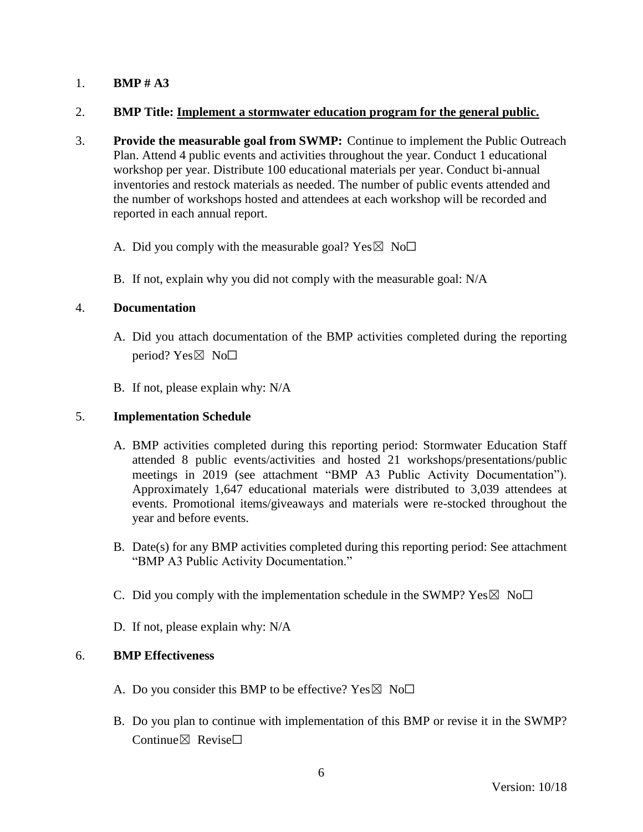#### 2. **BMP Title: Implement a stormwater education program for the general public.**

- 3. **Provide the measurable goal from SWMP:** Continue to implement the Public Outreach Plan. Attend 4 public events and activities throughout the year. Conduct 1 educational workshop per year. Distribute 100 educational materials per year. Conduct bi-annual inventories and restock materials as needed. The number of public events attended and the number of workshops hosted and attendees at each workshop will be recorded and reported in each annual report.
	- A. Did you comply with the measurable goal? Yes  $\boxtimes$  No $\Box$
	- B. If not, explain why you did not comply with the measurable goal: N/A

#### 4. **Documentation**

- A. Did you attach documentation of the BMP activities completed during the reporting period? Yes $\boxtimes$  No $\square$
- B. If not, please explain why: N/A

### 5. **Implementation Schedule**

- A. BMP activities completed during this reporting period: Stormwater Education Staff attended 8 public events/activities and hosted 21 workshops/presentations/public meetings in 2019 (see attachment "BMP A3 Public Activity Documentation"). Approximately 1,647 educational materials were distributed to 3,039 attendees at events. Promotional items/giveaways and materials were re-stocked throughout the year and before events.
- B. Date(s) for any BMP activities completed during this reporting period: See attachment "BMP A3 Public Activity Documentation."
- C. Did you comply with the implementation schedule in the SWMP?  $Yes \boxtimes No \Box$
- D. If not, please explain why: N/A

- A. Do you consider this BMP to be effective? Yes  $\boxtimes$  No $\Box$
- B. Do you plan to continue with implementation of this BMP or revise it in the SWMP? Continue⊠ Revise□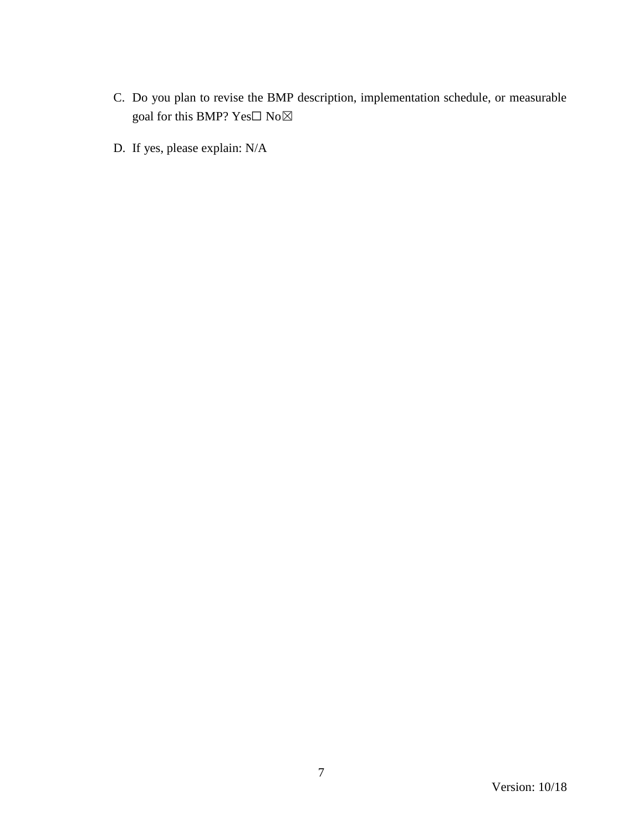- C. Do you plan to revise the BMP description, implementation schedule, or measurable goal for this BMP? Yes $\Box$  No $\boxtimes$
- D. If yes, please explain: N/A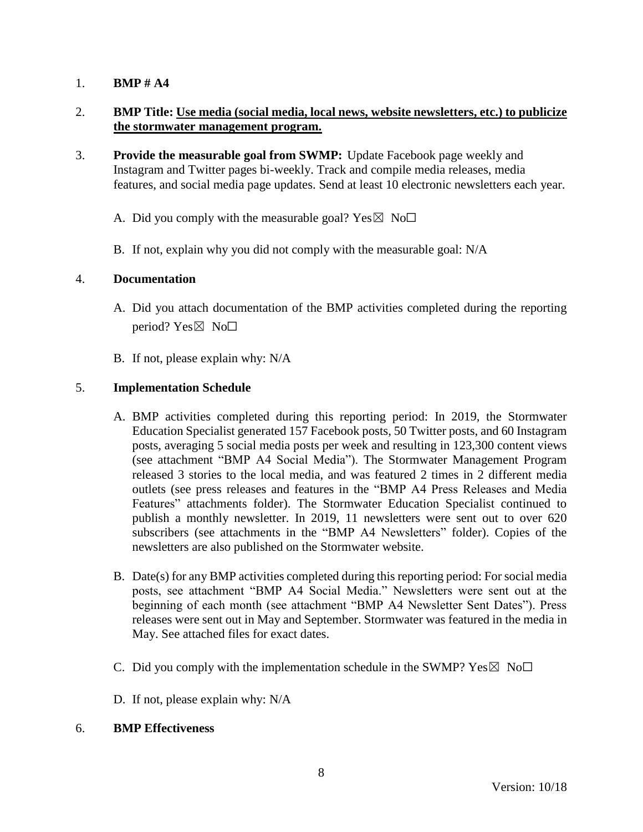# 2. **BMP Title: Use media (social media, local news, website newsletters, etc.) to publicize the stormwater management program.**

- 3. **Provide the measurable goal from SWMP:** Update Facebook page weekly and Instagram and Twitter pages bi-weekly. Track and compile media releases, media features, and social media page updates. Send at least 10 electronic newsletters each year.
	- A. Did you comply with the measurable goal? Yes  $\boxtimes$  No $\Box$
	- B. If not, explain why you did not comply with the measurable goal: N/A

#### 4. **Documentation**

- A. Did you attach documentation of the BMP activities completed during the reporting period? Yes $\boxtimes$  No $\square$
- B. If not, please explain why: N/A

### 5. **Implementation Schedule**

- A. BMP activities completed during this reporting period: In 2019, the Stormwater Education Specialist generated 157 Facebook posts, 50 Twitter posts, and 60 Instagram posts, averaging 5 social media posts per week and resulting in 123,300 content views (see attachment "BMP A4 Social Media"). The Stormwater Management Program released 3 stories to the local media, and was featured 2 times in 2 different media outlets (see press releases and features in the "BMP A4 Press Releases and Media Features" attachments folder). The Stormwater Education Specialist continued to publish a monthly newsletter. In 2019, 11 newsletters were sent out to over 620 subscribers (see attachments in the "BMP A4 Newsletters" folder). Copies of the newsletters are also published on the Stormwater website.
- B. Date(s) for any BMP activities completed during this reporting period: For social media posts, see attachment "BMP A4 Social Media." Newsletters were sent out at the beginning of each month (see attachment "BMP A4 Newsletter Sent Dates"). Press releases were sent out in May and September. Stormwater was featured in the media in May. See attached files for exact dates.
- C. Did you comply with the implementation schedule in the SWMP?  $Yes \boxtimes No\square$
- D. If not, please explain why: N/A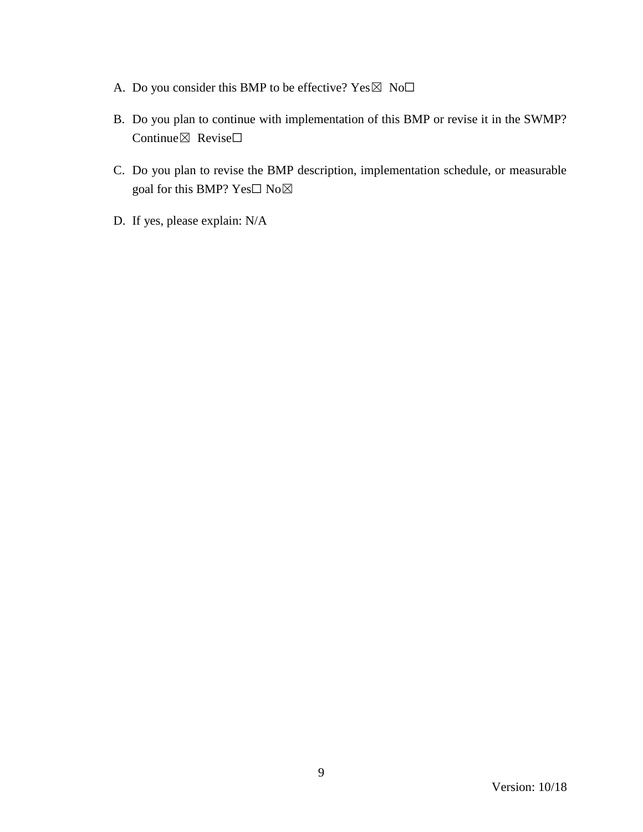- A. Do you consider this BMP to be effective?  $Yes \boxtimes No\square$
- B. Do you plan to continue with implementation of this BMP or revise it in the SWMP? Continue⊠ Revise□
- C. Do you plan to revise the BMP description, implementation schedule, or measurable goal for this BMP? Yes□ No⊠
- D. If yes, please explain: N/A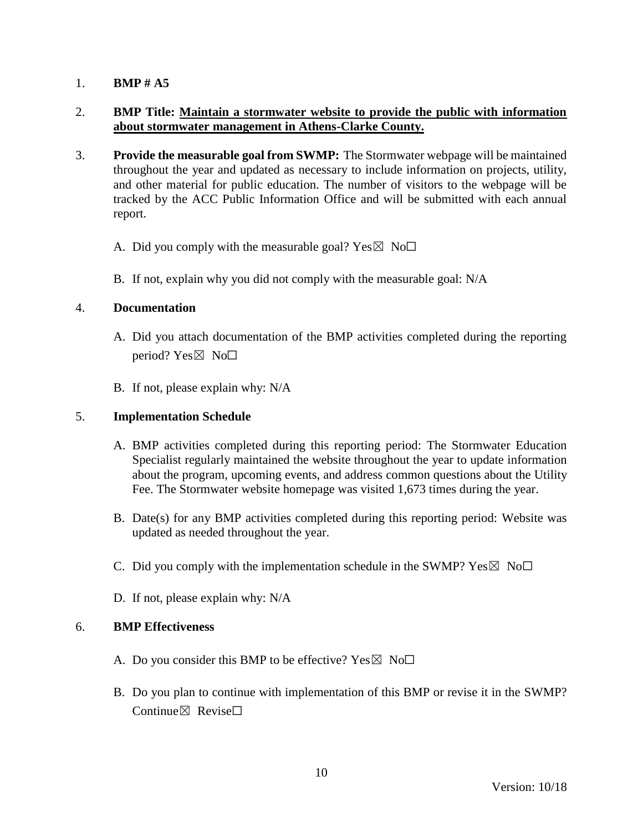# 2. **BMP Title: Maintain a stormwater website to provide the public with information about stormwater management in Athens-Clarke County.**

- 3. **Provide the measurable goal from SWMP:** The Stormwater webpage will be maintained throughout the year and updated as necessary to include information on projects, utility, and other material for public education. The number of visitors to the webpage will be tracked by the ACC Public Information Office and will be submitted with each annual report.
	- A. Did you comply with the measurable goal? Yes  $\boxtimes$  No $\Box$
	- B. If not, explain why you did not comply with the measurable goal: N/A

#### 4. **Documentation**

- A. Did you attach documentation of the BMP activities completed during the reporting period? Yes $\boxtimes$  No $\square$
- B. If not, please explain why: N/A

#### 5. **Implementation Schedule**

- A. BMP activities completed during this reporting period: The Stormwater Education Specialist regularly maintained the website throughout the year to update information about the program, upcoming events, and address common questions about the Utility Fee. The Stormwater website homepage was visited 1,673 times during the year.
- B. Date(s) for any BMP activities completed during this reporting period: Website was updated as needed throughout the year.
- C. Did you comply with the implementation schedule in the SWMP?  $Yes \boxtimes No\square$
- D. If not, please explain why: N/A

- A. Do you consider this BMP to be effective? Yes  $\boxtimes$  No $\Box$
- B. Do you plan to continue with implementation of this BMP or revise it in the SWMP? Continue $\boxtimes$  Revise $\Box$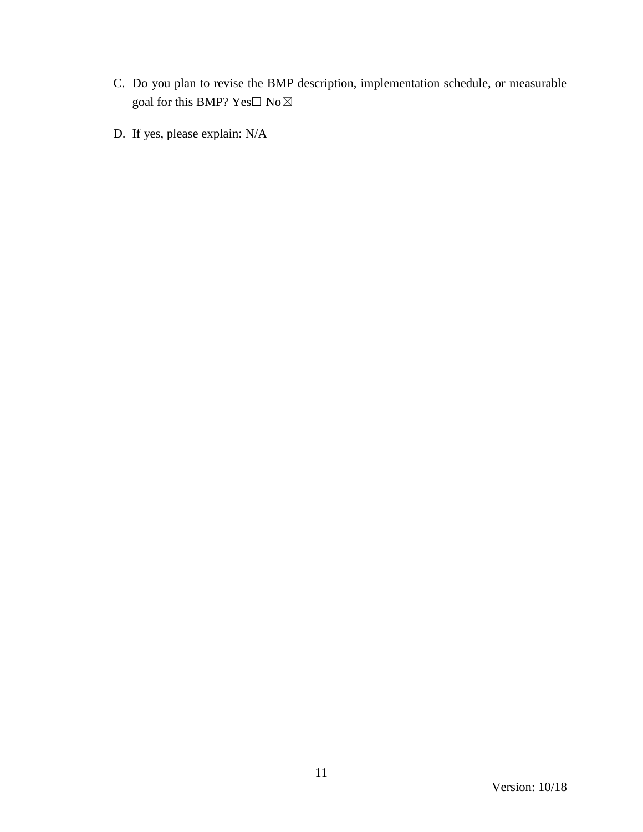- C. Do you plan to revise the BMP description, implementation schedule, or measurable goal for this BMP?  $\mathrm{Yes}\square$   $\mathrm{No}\boxtimes$
- D. If yes, please explain: N/A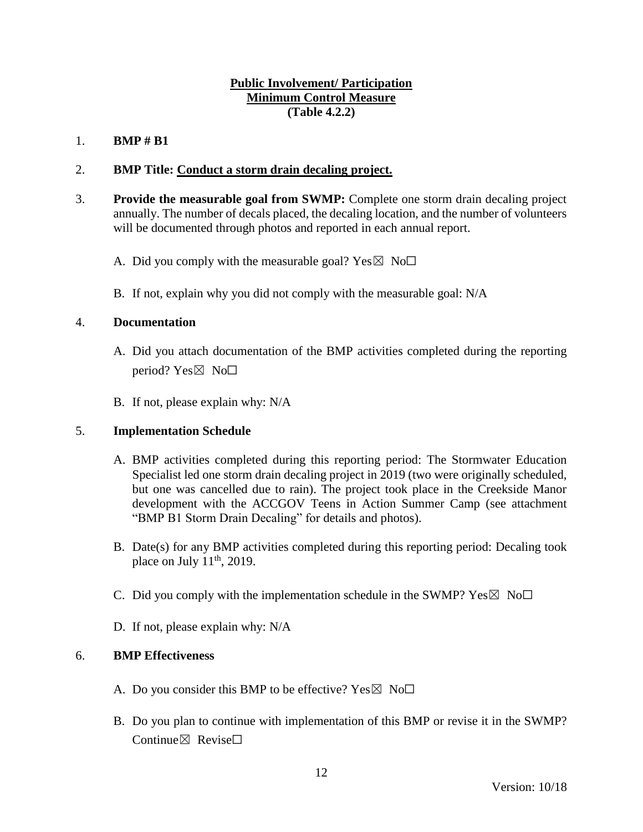## **Public Involvement/ Participation Minimum Control Measure (Table 4.2.2)**

## 1. **BMP # B1**

### 2. **BMP Title: Conduct a storm drain decaling project.**

- 3. **Provide the measurable goal from SWMP:** Complete one storm drain decaling project annually. The number of decals placed, the decaling location, and the number of volunteers will be documented through photos and reported in each annual report.
	- A. Did you comply with the measurable goal? Yes  $\boxtimes$  No $\Box$
	- B. If not, explain why you did not comply with the measurable goal: N/A

#### 4. **Documentation**

- A. Did you attach documentation of the BMP activities completed during the reporting period?  $Yes \boxtimes No \Box$
- B. If not, please explain why: N/A

#### 5. **Implementation Schedule**

- A. BMP activities completed during this reporting period: The Stormwater Education Specialist led one storm drain decaling project in 2019 (two were originally scheduled, but one was cancelled due to rain). The project took place in the Creekside Manor development with the ACCGOV Teens in Action Summer Camp (see attachment "BMP B1 Storm Drain Decaling" for details and photos).
- B. Date(s) for any BMP activities completed during this reporting period: Decaling took place on July  $11<sup>th</sup>$ , 2019.
- C. Did you comply with the implementation schedule in the SWMP?  $Yes \boxtimes No \Box$
- D. If not, please explain why: N/A

- A. Do you consider this BMP to be effective? Yes  $\boxtimes$  No $\Box$
- B. Do you plan to continue with implementation of this BMP or revise it in the SWMP? Continue⊠ Revise□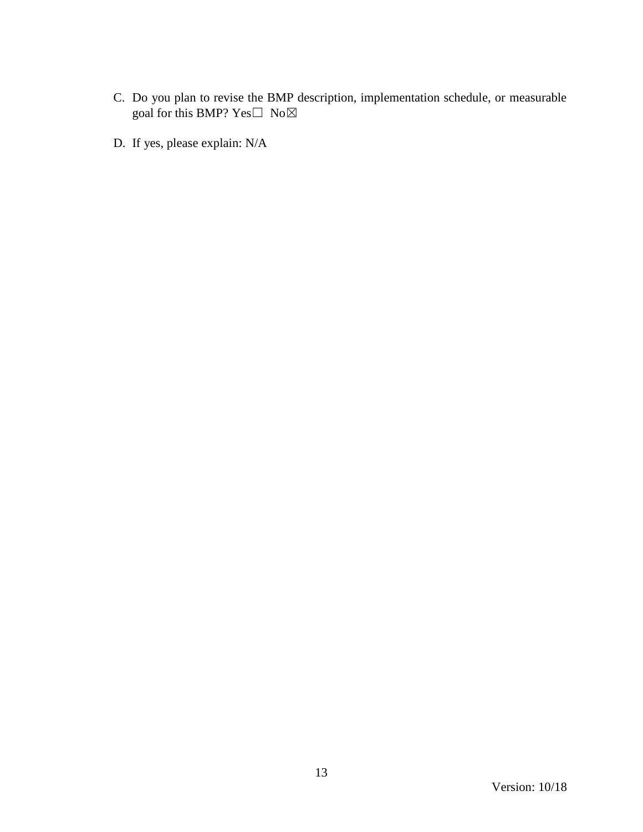- C. Do you plan to revise the BMP description, implementation schedule, or measurable goal for this BMP?  $Yes \Box No \boxtimes$
- D. If yes, please explain: N/A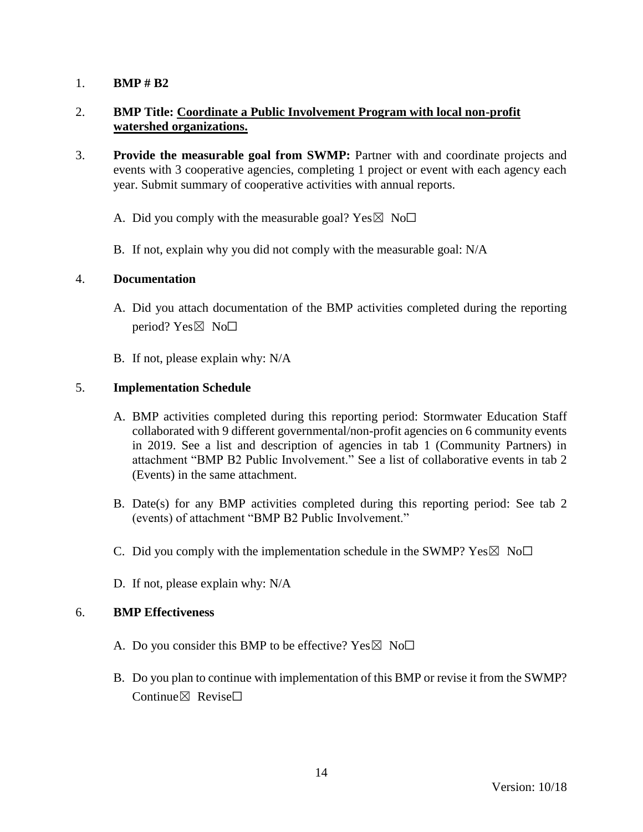# 2. **BMP Title: Coordinate a Public Involvement Program with local non-profit watershed organizations.**

- 3. **Provide the measurable goal from SWMP:** Partner with and coordinate projects and events with 3 cooperative agencies, completing 1 project or event with each agency each year. Submit summary of cooperative activities with annual reports.
	- A. Did you comply with the measurable goal? Yes  $\boxtimes$  No $\Box$
	- B. If not, explain why you did not comply with the measurable goal: N/A

#### 4. **Documentation**

- A. Did you attach documentation of the BMP activities completed during the reporting period? Yes⊠ No□
- B. If not, please explain why: N/A

### 5. **Implementation Schedule**

- A. BMP activities completed during this reporting period: Stormwater Education Staff collaborated with 9 different governmental/non-profit agencies on 6 community events in 2019. See a list and description of agencies in tab 1 (Community Partners) in attachment "BMP B2 Public Involvement." See a list of collaborative events in tab 2 (Events) in the same attachment.
- B. Date(s) for any BMP activities completed during this reporting period: See tab 2 (events) of attachment "BMP B2 Public Involvement."
- C. Did you comply with the implementation schedule in the SWMP?  $Yes \boxtimes No\square$
- D. If not, please explain why: N/A

- A. Do you consider this BMP to be effective? Yes  $\boxtimes$  No $\Box$
- B. Do you plan to continue with implementation of this BMP or revise it from the SWMP? Continue⊠ Revise□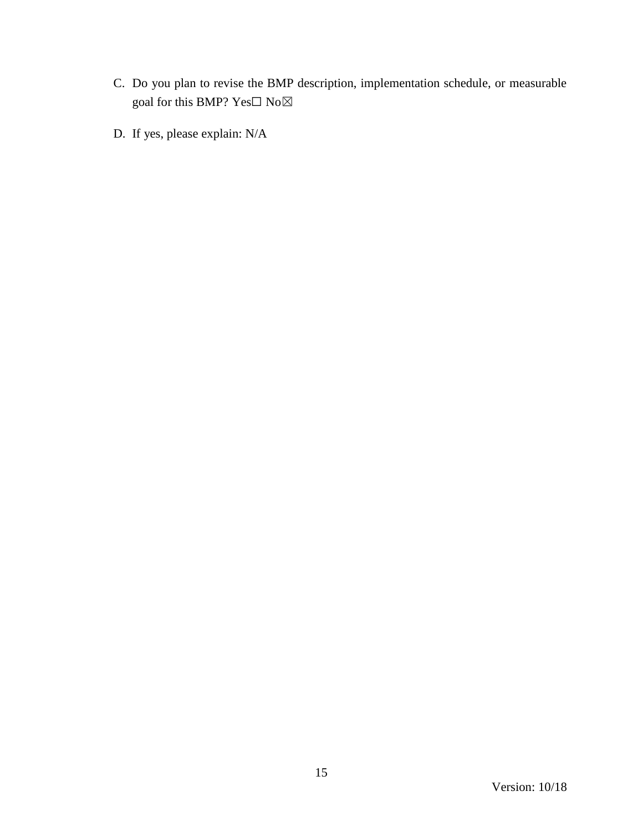- C. Do you plan to revise the BMP description, implementation schedule, or measurable goal for this BMP? Yes $\Box$  No $\boxtimes$
- D. If yes, please explain: N/A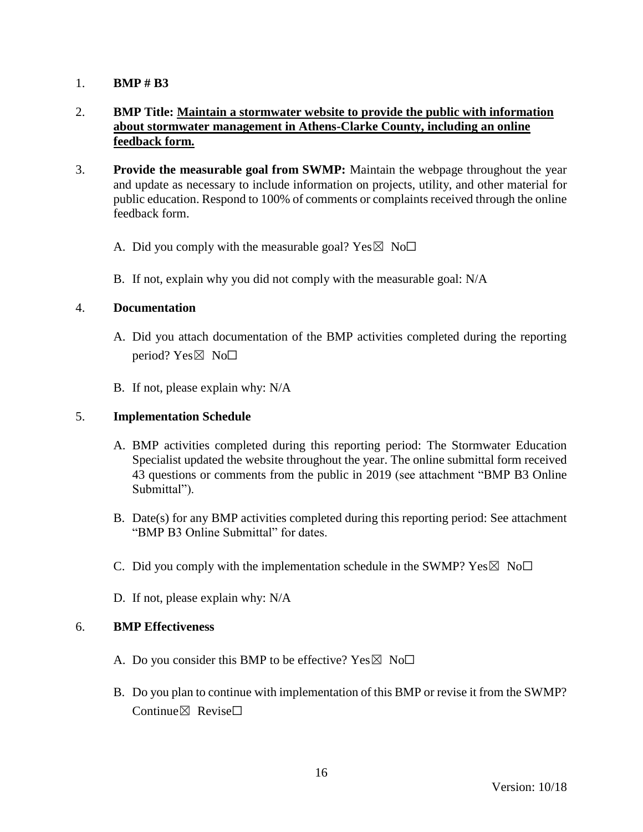# 2. **BMP Title: Maintain a stormwater website to provide the public with information about stormwater management in Athens-Clarke County, including an online feedback form.**

- 3. **Provide the measurable goal from SWMP:** Maintain the webpage throughout the year and update as necessary to include information on projects, utility, and other material for public education. Respond to 100% of comments or complaints received through the online feedback form.
	- A. Did you comply with the measurable goal? Yes  $\boxtimes$  No $\Box$
	- B. If not, explain why you did not comply with the measurable goal: N/A

#### 4. **Documentation**

- A. Did you attach documentation of the BMP activities completed during the reporting period? Yes $\boxtimes$  No $\square$
- B. If not, please explain why: N/A

#### 5. **Implementation Schedule**

- A. BMP activities completed during this reporting period: The Stormwater Education Specialist updated the website throughout the year. The online submittal form received 43 questions or comments from the public in 2019 (see attachment "BMP B3 Online Submittal").
- B. Date(s) for any BMP activities completed during this reporting period: See attachment "BMP B3 Online Submittal" for dates.
- C. Did you comply with the implementation schedule in the SWMP?  $Yes \boxtimes No\square$
- D. If not, please explain why: N/A

- A. Do you consider this BMP to be effective? Yes  $\boxtimes$  No $\Box$
- B. Do you plan to continue with implementation of this BMP or revise it from the SWMP? Continue $\boxtimes$  Revise $\Box$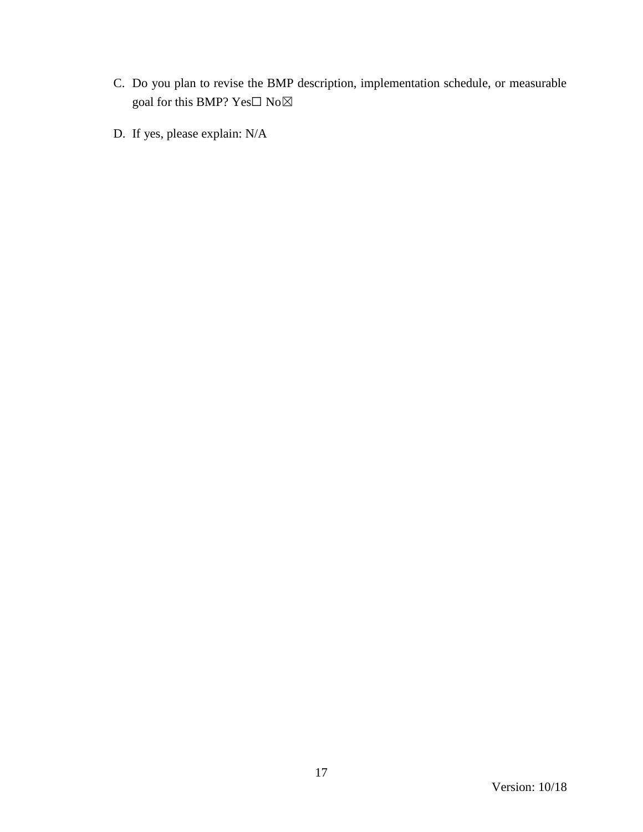- C. Do you plan to revise the BMP description, implementation schedule, or measurable goal for this BMP?  $\mathrm{Yes}\square$   $\mathrm{No}\boxtimes$
- D. If yes, please explain: N/A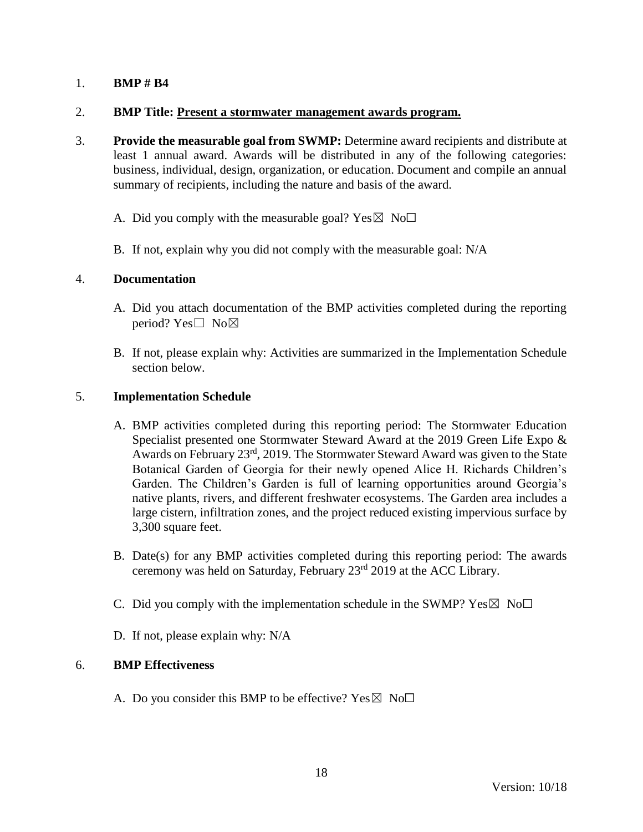### 2. **BMP Title: Present a stormwater management awards program.**

- 3. **Provide the measurable goal from SWMP:** Determine award recipients and distribute at least 1 annual award. Awards will be distributed in any of the following categories: business, individual, design, organization, or education. Document and compile an annual summary of recipients, including the nature and basis of the award.
	- A. Did you comply with the measurable goal? Yes  $\boxtimes$  No $\Box$
	- B. If not, explain why you did not comply with the measurable goal: N/A

### 4. **Documentation**

- A. Did you attach documentation of the BMP activities completed during the reporting period? Yes□ No⊠
- B. If not, please explain why: Activities are summarized in the Implementation Schedule section below.

### 5. **Implementation Schedule**

- A. BMP activities completed during this reporting period: The Stormwater Education Specialist presented one Stormwater Steward Award at the 2019 Green Life Expo & Awards on February 23<sup>rd</sup>, 2019. The Stormwater Steward Award was given to the State Botanical Garden of Georgia for their newly opened Alice H. Richards Children's Garden. The Children's Garden is full of learning opportunities around Georgia's native plants, rivers, and different freshwater ecosystems. The Garden area includes a large cistern, infiltration zones, and the project reduced existing impervious surface by 3,300 square feet.
- B. Date(s) for any BMP activities completed during this reporting period: The awards ceremony was held on Saturday, February 23rd 2019 at the ACC Library.
- C. Did you comply with the implementation schedule in the SWMP?  $Yes \boxtimes No\square$
- D. If not, please explain why: N/A

# 6. **BMP Effectiveness**

A. Do you consider this BMP to be effective? Yes  $\boxtimes$  No $\Box$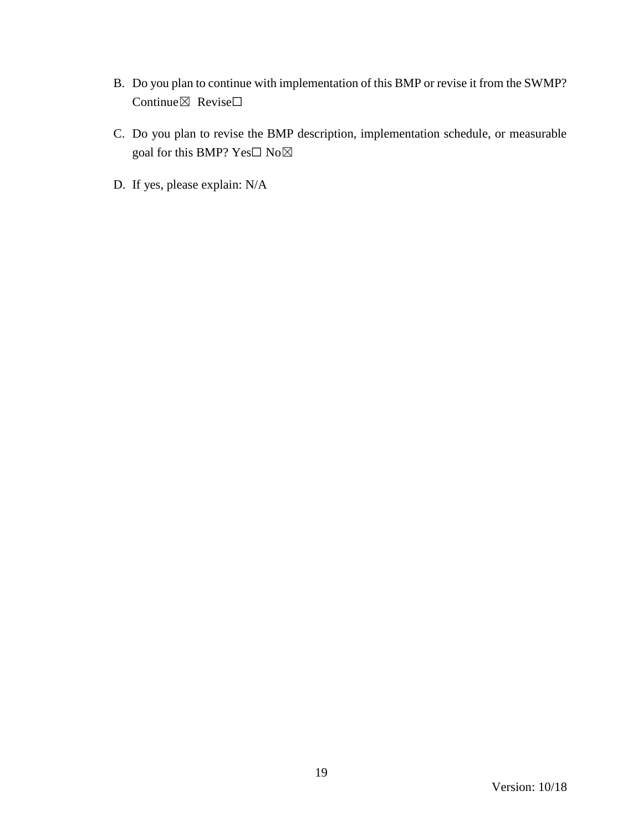- B. Do you plan to continue with implementation of this BMP or revise it from the SWMP? Continue⊠ Revise□
- C. Do you plan to revise the BMP description, implementation schedule, or measurable goal for this BMP? Yes $\Box$  No $\boxtimes$
- D. If yes, please explain: N/A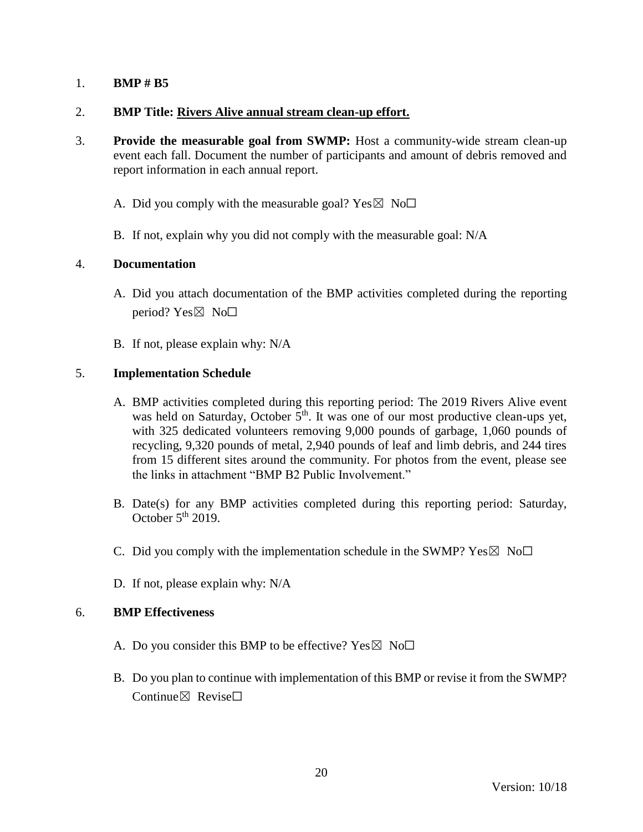### 2. **BMP Title: Rivers Alive annual stream clean-up effort.**

- 3. **Provide the measurable goal from SWMP:** Host a community-wide stream clean-up event each fall. Document the number of participants and amount of debris removed and report information in each annual report.
	- A. Did you comply with the measurable goal? Yes  $\boxtimes$  No $\Box$
	- B. If not, explain why you did not comply with the measurable goal: N/A

### 4. **Documentation**

- A. Did you attach documentation of the BMP activities completed during the reporting period?  $Yes \boxtimes No \square$
- B. If not, please explain why: N/A

### 5. **Implementation Schedule**

- A. BMP activities completed during this reporting period: The 2019 Rivers Alive event was held on Saturday, October  $5<sup>th</sup>$ . It was one of our most productive clean-ups yet, with 325 dedicated volunteers removing 9,000 pounds of garbage, 1,060 pounds of recycling, 9,320 pounds of metal, 2,940 pounds of leaf and limb debris, and 244 tires from 15 different sites around the community. For photos from the event, please see the links in attachment "BMP B2 Public Involvement."
- B. Date(s) for any BMP activities completed during this reporting period: Saturday, October  $5<sup>th</sup>$  2019.
- C. Did you comply with the implementation schedule in the SWMP?  $Yes \boxtimes No\square$
- D. If not, please explain why: N/A

- A. Do you consider this BMP to be effective? Yes  $\boxtimes$  No $\Box$
- B. Do you plan to continue with implementation of this BMP or revise it from the SWMP?  $Confinite \times$  Revise $\Box$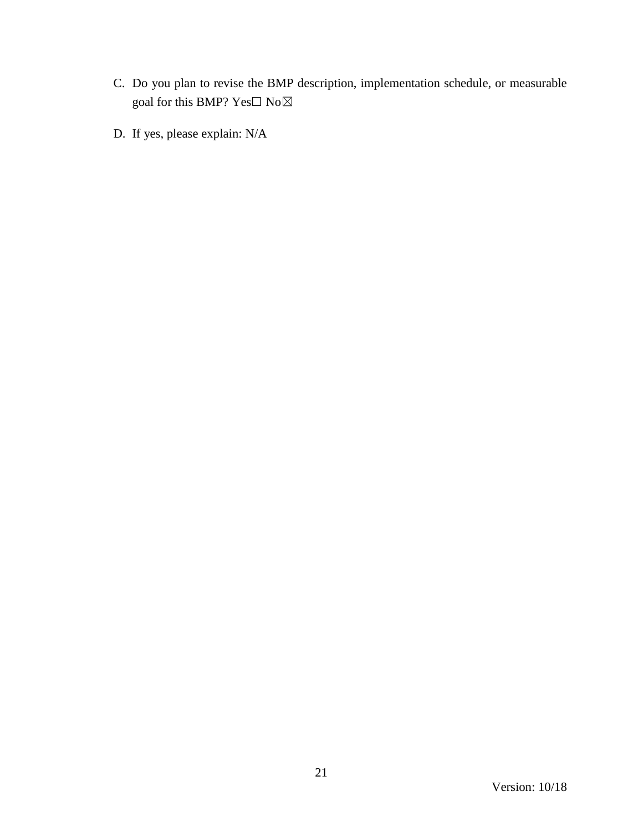- C. Do you plan to revise the BMP description, implementation schedule, or measurable goal for this BMP?  $\mathrm{Yes}\square$   $\mathrm{No}\boxtimes$
- D. If yes, please explain: N/A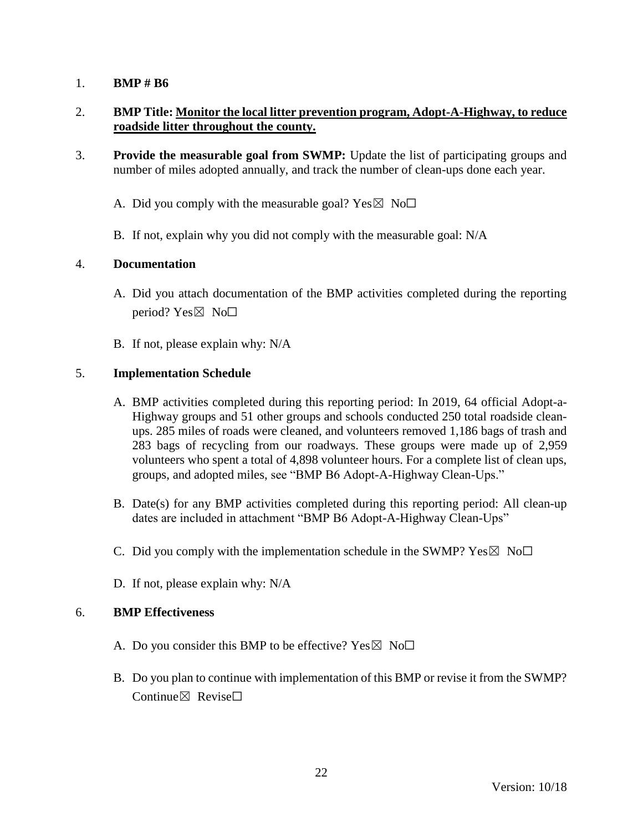# 2. **BMP Title: Monitor the local litter prevention program, Adopt-A-Highway, to reduce roadside litter throughout the county.**

- 3. **Provide the measurable goal from SWMP:** Update the list of participating groups and number of miles adopted annually, and track the number of clean-ups done each year.
	- A. Did you comply with the measurable goal? Yes  $\boxtimes$  No $\Box$
	- B. If not, explain why you did not comply with the measurable goal: N/A

### 4. **Documentation**

- A. Did you attach documentation of the BMP activities completed during the reporting period?  $Yes \boxtimes No \square$
- B. If not, please explain why: N/A

### 5. **Implementation Schedule**

- A. BMP activities completed during this reporting period: In 2019, 64 official Adopt-a-Highway groups and 51 other groups and schools conducted 250 total roadside cleanups. 285 miles of roads were cleaned, and volunteers removed 1,186 bags of trash and 283 bags of recycling from our roadways. These groups were made up of 2,959 volunteers who spent a total of 4,898 volunteer hours. For a complete list of clean ups, groups, and adopted miles, see "BMP B6 Adopt-A-Highway Clean-Ups."
- B. Date(s) for any BMP activities completed during this reporting period: All clean-up dates are included in attachment "BMP B6 Adopt-A-Highway Clean-Ups"
- C. Did you comply with the implementation schedule in the SWMP?  $Yes \boxtimes No\square$
- D. If not, please explain why: N/A

- A. Do you consider this BMP to be effective? Yes  $\boxtimes$  No $\Box$
- B. Do you plan to continue with implementation of this BMP or revise it from the SWMP?  $Confinite \times$  Revise $\Box$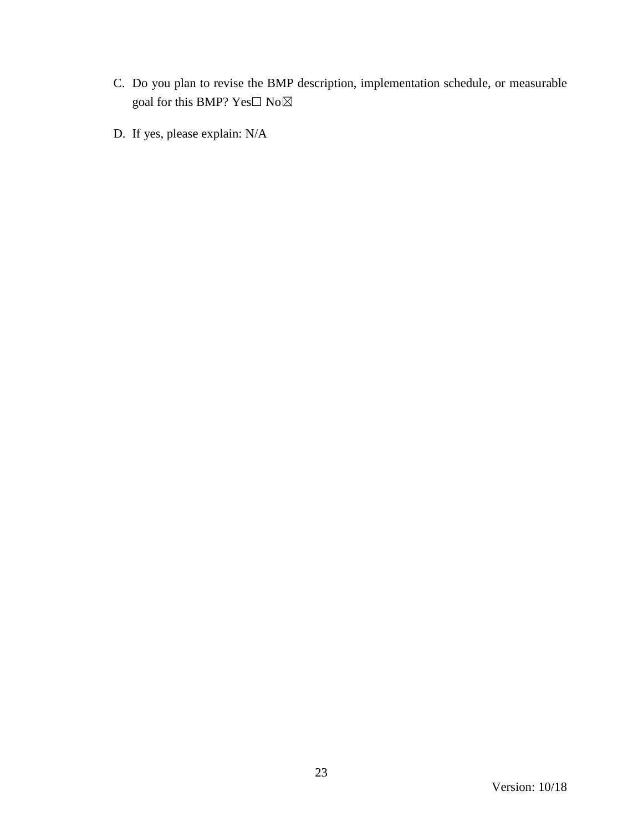- C. Do you plan to revise the BMP description, implementation schedule, or measurable goal for this BMP?  $\mathrm{Yes}\square$   $\mathrm{No}\boxtimes$
- D. If yes, please explain: N/A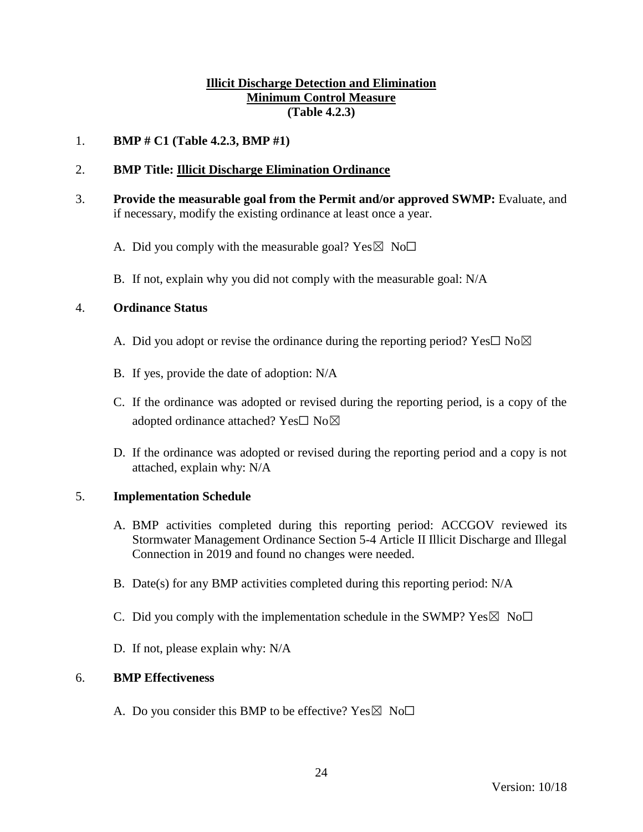## **Illicit Discharge Detection and Elimination Minimum Control Measure (Table 4.2.3)**

### 1. **BMP # C1 (Table 4.2.3, BMP #1)**

### 2. **BMP Title: Illicit Discharge Elimination Ordinance**

- 3. **Provide the measurable goal from the Permit and/or approved SWMP:** Evaluate, and if necessary, modify the existing ordinance at least once a year.
	- A. Did you comply with the measurable goal? Yes  $\boxtimes$  No $\Box$
	- B. If not, explain why you did not comply with the measurable goal: N/A

#### 4. **Ordinance Status**

- A. Did you adopt or revise the ordinance during the reporting period? Yes $\square$  No $\boxtimes$
- B. If yes, provide the date of adoption: N/A
- C. If the ordinance was adopted or revised during the reporting period, is a copy of the adopted ordinance attached? Yes□ No⊠
- D. If the ordinance was adopted or revised during the reporting period and a copy is not attached, explain why: N/A

#### 5. **Implementation Schedule**

- A. BMP activities completed during this reporting period: ACCGOV reviewed its Stormwater Management Ordinance Section 5-4 Article II Illicit Discharge and Illegal Connection in 2019 and found no changes were needed.
- B. Date(s) for any BMP activities completed during this reporting period: N/A
- C. Did you comply with the implementation schedule in the SWMP?  $Yes \boxtimes No \square$
- D. If not, please explain why: N/A

#### 6. **BMP Effectiveness**

A. Do you consider this BMP to be effective? Yes  $\boxtimes$  No $\Box$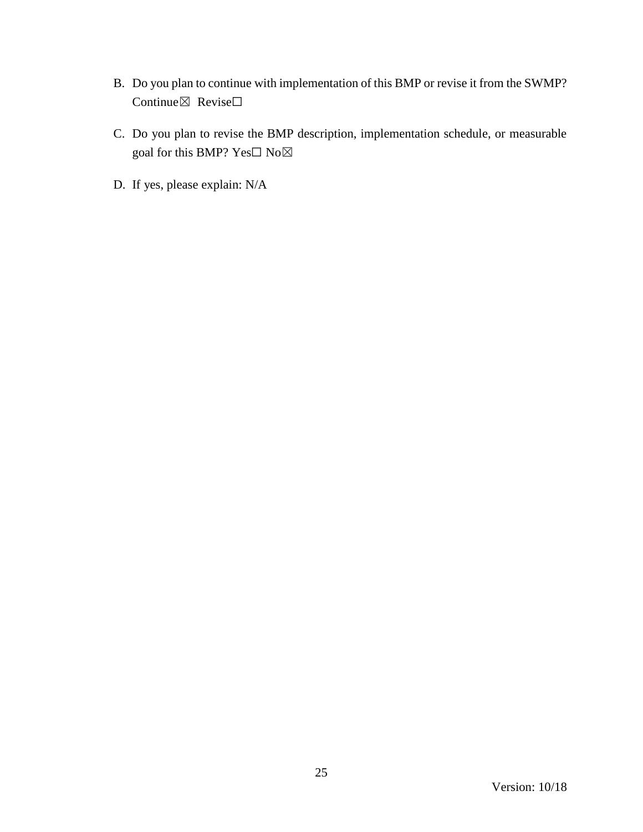- B. Do you plan to continue with implementation of this BMP or revise it from the SWMP? Continue⊠ Revise□
- C. Do you plan to revise the BMP description, implementation schedule, or measurable goal for this BMP?  $\mathrm{Yes}\square$   $\mathrm{No}\boxtimes$
- D. If yes, please explain: N/A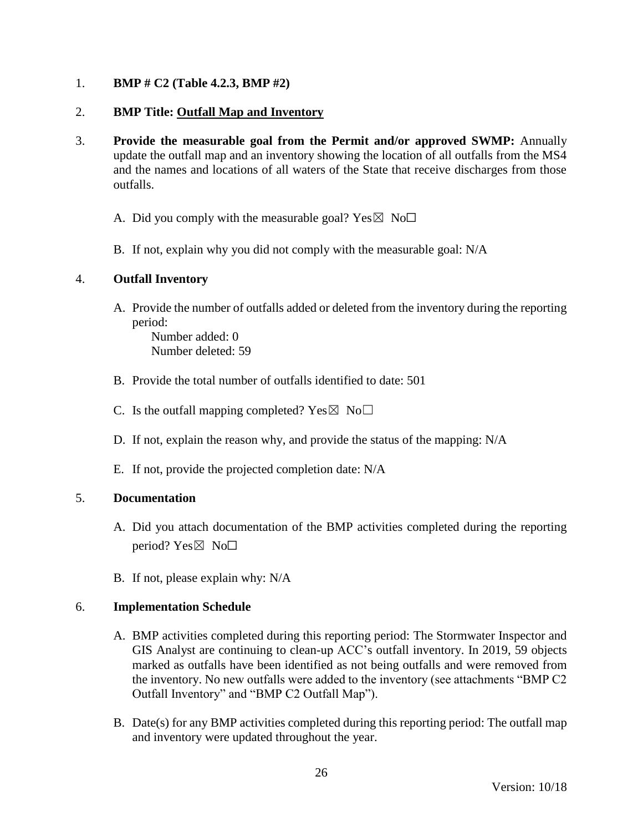## 1. **BMP # C2 (Table 4.2.3, BMP #2)**

### 2. **BMP Title: Outfall Map and Inventory**

- 3. **Provide the measurable goal from the Permit and/or approved SWMP:** Annually update the outfall map and an inventory showing the location of all outfalls from the MS4 and the names and locations of all waters of the State that receive discharges from those outfalls.
	- A. Did you comply with the measurable goal? Yes  $\boxtimes$  No $\Box$
	- B. If not, explain why you did not comply with the measurable goal: N/A

### 4. **Outfall Inventory**

A. Provide the number of outfalls added or deleted from the inventory during the reporting period:

Number added: 0 Number deleted: 59

- B. Provide the total number of outfalls identified to date: 501
- C. Is the outfall mapping completed?  $Yes \boxtimes No \square$
- D. If not, explain the reason why, and provide the status of the mapping: N/A
- E. If not, provide the projected completion date: N/A

#### 5. **Documentation**

- A. Did you attach documentation of the BMP activities completed during the reporting period?  $Yes \boxtimes No \Box$
- B. If not, please explain why: N/A

#### 6. **Implementation Schedule**

- A. BMP activities completed during this reporting period: The Stormwater Inspector and GIS Analyst are continuing to clean-up ACC's outfall inventory. In 2019, 59 objects marked as outfalls have been identified as not being outfalls and were removed from the inventory. No new outfalls were added to the inventory (see attachments "BMP C2 Outfall Inventory" and "BMP C2 Outfall Map").
- B. Date(s) for any BMP activities completed during this reporting period: The outfall map and inventory were updated throughout the year.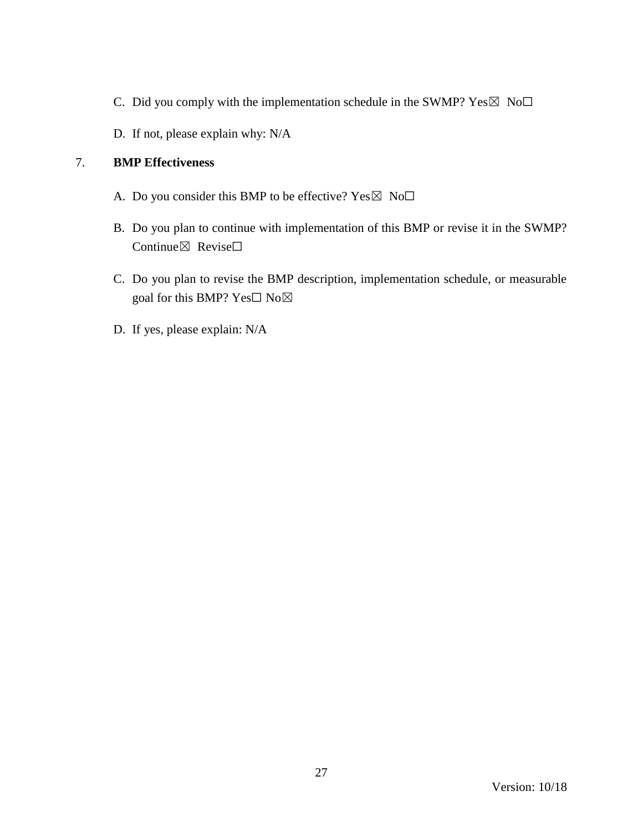- C. Did you comply with the implementation schedule in the SWMP?  $Yes \boxtimes No \Box$
- D. If not, please explain why: N/A

- A. Do you consider this BMP to be effective? Yes  $\boxtimes$  No $\Box$
- B. Do you plan to continue with implementation of this BMP or revise it in the SWMP? Continue⊠ Revise□
- C. Do you plan to revise the BMP description, implementation schedule, or measurable goal for this BMP?  $Yes \Box No \boxtimes$
- D. If yes, please explain: N/A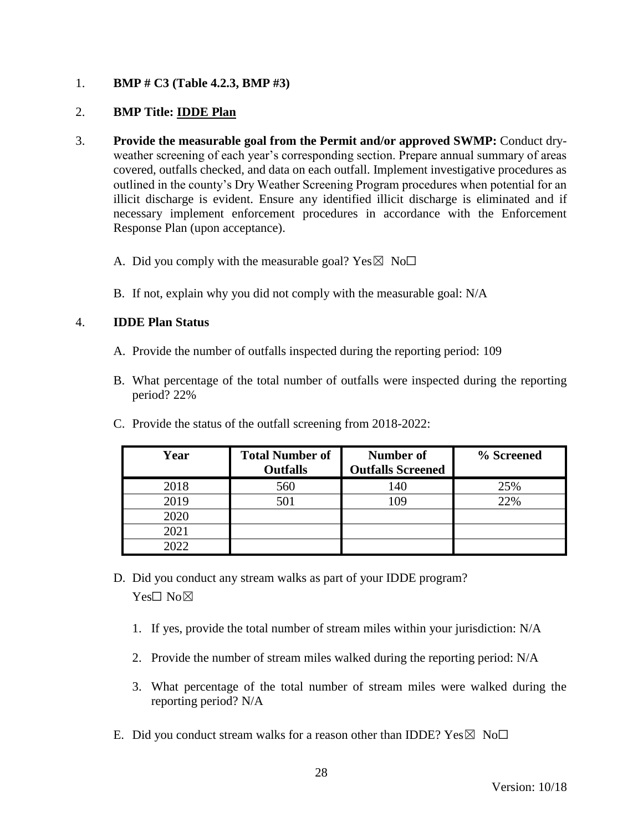## 1. **BMP # C3 (Table 4.2.3, BMP #3)**

### 2. **BMP Title: IDDE Plan**

- 3. **Provide the measurable goal from the Permit and/or approved SWMP:** Conduct dryweather screening of each year's corresponding section. Prepare annual summary of areas covered, outfalls checked, and data on each outfall. Implement investigative procedures as outlined in the county's Dry Weather Screening Program procedures when potential for an illicit discharge is evident. Ensure any identified illicit discharge is eliminated and if necessary implement enforcement procedures in accordance with the Enforcement Response Plan (upon acceptance).
	- A. Did you comply with the measurable goal? Yes  $\boxtimes$  No $\Box$
	- B. If not, explain why you did not comply with the measurable goal: N/A

### 4. **IDDE Plan Status**

- A. Provide the number of outfalls inspected during the reporting period: 109
- B. What percentage of the total number of outfalls were inspected during the reporting period? 22%

| Year | <b>Total Number of</b><br><b>Outfalls</b> | <b>Number of</b><br><b>Outfalls Screened</b> | % Screened |
|------|-------------------------------------------|----------------------------------------------|------------|
| 2018 | 560                                       | 140                                          | 25%        |
| 2019 | 501                                       | 109                                          | 22%        |
| 2020 |                                           |                                              |            |
| 2021 |                                           |                                              |            |
| 2022 |                                           |                                              |            |

C. Provide the status of the outfall screening from 2018-2022:

- D. Did you conduct any stream walks as part of your IDDE program? Yes□ No⊠
	- 1. If yes, provide the total number of stream miles within your jurisdiction: N/A
	- 2. Provide the number of stream miles walked during the reporting period: N/A
	- 3. What percentage of the total number of stream miles were walked during the reporting period? N/A
- E. Did you conduct stream walks for a reason other than IDDE?  $Yes \boxtimes No\square$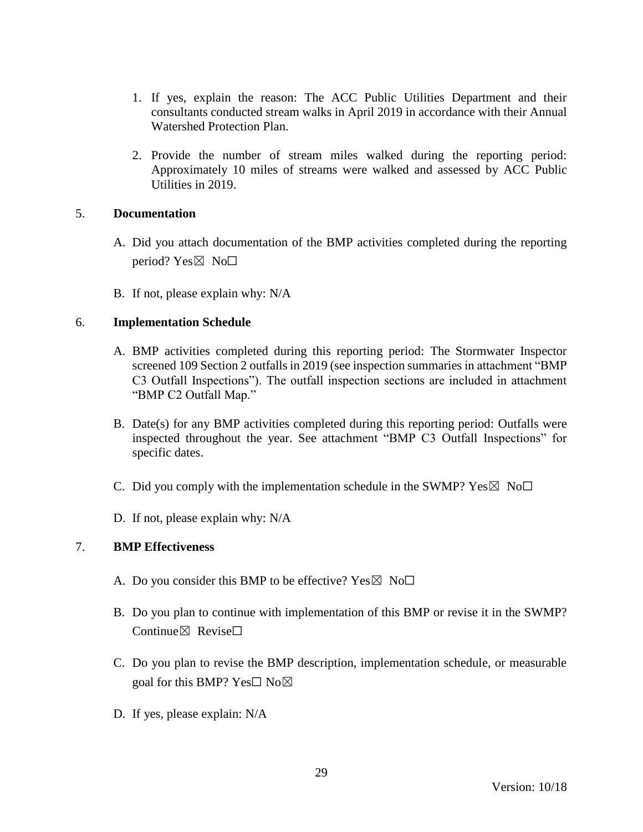- 1. If yes, explain the reason: The ACC Public Utilities Department and their consultants conducted stream walks in April 2019 in accordance with their Annual Watershed Protection Plan.
- 2. Provide the number of stream miles walked during the reporting period: Approximately 10 miles of streams were walked and assessed by ACC Public Utilities in 2019.

#### 5. **Documentation**

- A. Did you attach documentation of the BMP activities completed during the reporting period? Yes $\boxtimes$  No $\square$
- B. If not, please explain why: N/A

### 6. **Implementation Schedule**

- A. BMP activities completed during this reporting period: The Stormwater Inspector screened 109 Section 2 outfalls in 2019 (see inspection summaries in attachment "BMP C3 Outfall Inspections"). The outfall inspection sections are included in attachment "BMP C2 Outfall Map."
- B. Date(s) for any BMP activities completed during this reporting period: Outfalls were inspected throughout the year. See attachment "BMP C3 Outfall Inspections" for specific dates.
- C. Did you comply with the implementation schedule in the SWMP?  $Yes \boxtimes No\square$
- D. If not, please explain why: N/A

#### 7. **BMP Effectiveness**

- A. Do you consider this BMP to be effective? Yes  $\boxtimes$  No $\Box$
- B. Do you plan to continue with implementation of this BMP or revise it in the SWMP? Continue $\boxtimes$  Revise $\Box$
- C. Do you plan to revise the BMP description, implementation schedule, or measurable goal for this BMP? Yes□ No⊠
- D. If yes, please explain: N/A

29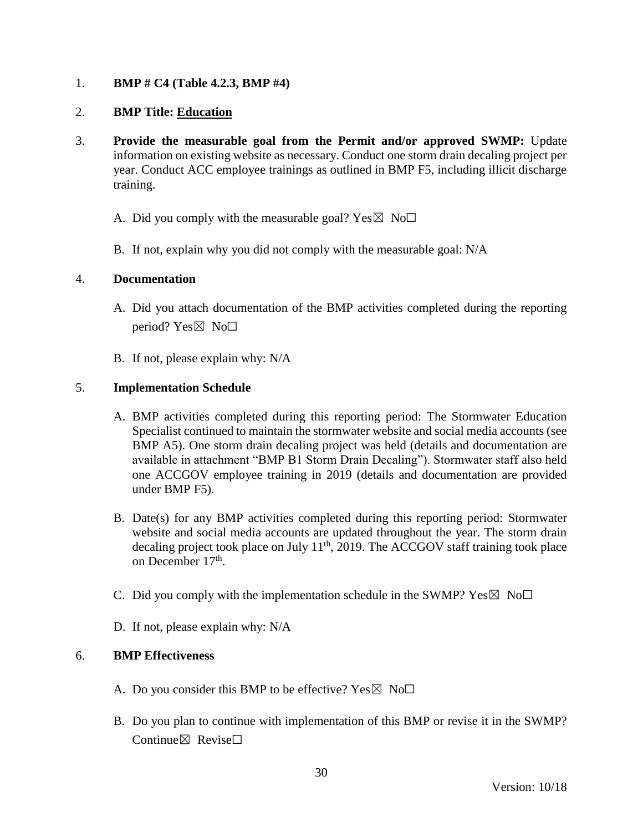## 1. **BMP # C4 (Table 4.2.3, BMP #4)**

### 2. **BMP Title: Education**

- 3. **Provide the measurable goal from the Permit and/or approved SWMP:** Update information on existing website as necessary. Conduct one storm drain decaling project per year. Conduct ACC employee trainings as outlined in BMP F5, including illicit discharge training.
	- A. Did you comply with the measurable goal? Yes  $\boxtimes$  No $\Box$
	- B. If not, explain why you did not comply with the measurable goal: N/A

#### 4. **Documentation**

- A. Did you attach documentation of the BMP activities completed during the reporting period? Yes $\boxtimes$  No $\square$
- B. If not, please explain why: N/A

### 5. **Implementation Schedule**

- A. BMP activities completed during this reporting period: The Stormwater Education Specialist continued to maintain the stormwater website and social media accounts (see BMP A5). One storm drain decaling project was held (details and documentation are available in attachment "BMP B1 Storm Drain Decaling"). Stormwater staff also held one ACCGOV employee training in 2019 (details and documentation are provided under BMP F5).
- B. Date(s) for any BMP activities completed during this reporting period: Stormwater website and social media accounts are updated throughout the year. The storm drain decaling project took place on July  $11<sup>th</sup>$ , 2019. The ACCGOV staff training took place on December 17<sup>th</sup>.
- C. Did you comply with the implementation schedule in the SWMP?  $Yes \boxtimes No \Box$
- D. If not, please explain why: N/A

- A. Do you consider this BMP to be effective? Yes  $\boxtimes$  No $\Box$
- B. Do you plan to continue with implementation of this BMP or revise it in the SWMP? Continue⊠ Revise□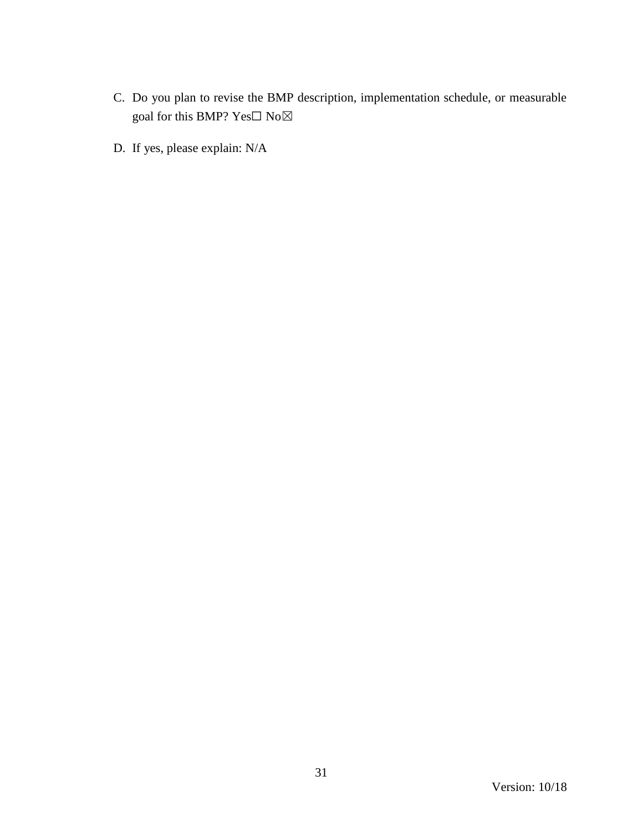- C. Do you plan to revise the BMP description, implementation schedule, or measurable goal for this BMP? Yes $\Box$  No $\boxtimes$
- D. If yes, please explain: N/A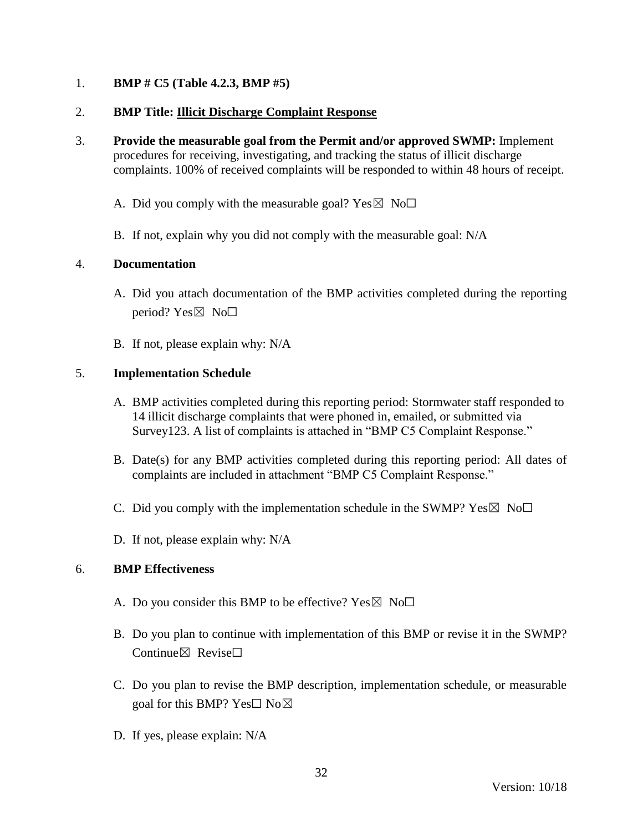### 1. **BMP # C5 (Table 4.2.3, BMP #5)**

### 2. **BMP Title: Illicit Discharge Complaint Response**

3. **Provide the measurable goal from the Permit and/or approved SWMP:** Implement procedures for receiving, investigating, and tracking the status of illicit discharge complaints. 100% of received complaints will be responded to within 48 hours of receipt.

A. Did you comply with the measurable goal? Yes  $\boxtimes$  No $\Box$ 

B. If not, explain why you did not comply with the measurable goal: N/A

### 4. **Documentation**

- A. Did you attach documentation of the BMP activities completed during the reporting period?  $Yes \boxtimes No \square$
- B. If not, please explain why: N/A

### 5. **Implementation Schedule**

- A. BMP activities completed during this reporting period: Stormwater staff responded to 14 illicit discharge complaints that were phoned in, emailed, or submitted via Survey123. A list of complaints is attached in "BMP C5 Complaint Response."
- B. Date(s) for any BMP activities completed during this reporting period: All dates of complaints are included in attachment "BMP C5 Complaint Response."
- C. Did you comply with the implementation schedule in the SWMP?  $Yes \boxtimes No \square$
- D. If not, please explain why: N/A

- A. Do you consider this BMP to be effective? Yes  $\boxtimes$  No $\Box$
- B. Do you plan to continue with implementation of this BMP or revise it in the SWMP? Continue $\boxtimes$  Revise $\Box$
- C. Do you plan to revise the BMP description, implementation schedule, or measurable goal for this BMP? Yes $\square$  No $\boxtimes$
- D. If yes, please explain: N/A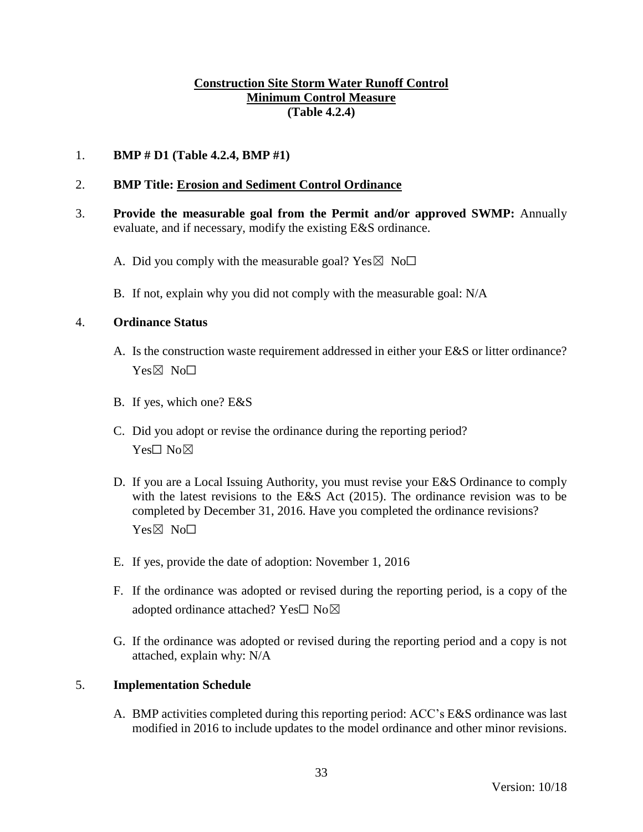## **Construction Site Storm Water Runoff Control Minimum Control Measure (Table 4.2.4)**

### 1. **BMP # D1 (Table 4.2.4, BMP #1)**

### 2. **BMP Title: Erosion and Sediment Control Ordinance**

- 3. **Provide the measurable goal from the Permit and/or approved SWMP:** Annually evaluate, and if necessary, modify the existing E&S ordinance.
	- A. Did you comply with the measurable goal? Yes  $\boxtimes$  No $\Box$
	- B. If not, explain why you did not comply with the measurable goal: N/A

#### 4. **Ordinance Status**

- A. Is the construction waste requirement addressed in either your E&S or litter ordinance? Yes⊠ No□
- B. If yes, which one? E&S
- C. Did you adopt or revise the ordinance during the reporting period? Yes□ No⊠
- D. If you are a Local Issuing Authority, you must revise your E&S Ordinance to comply with the latest revisions to the E&S Act (2015). The ordinance revision was to be completed by December 31, 2016. Have you completed the ordinance revisions? Yes⊠ No<sub>□</sub>
- E. If yes, provide the date of adoption: November 1, 2016
- F. If the ordinance was adopted or revised during the reporting period, is a copy of the adopted ordinance attached? Yes□ No⊠
- G. If the ordinance was adopted or revised during the reporting period and a copy is not attached, explain why: N/A

#### 5. **Implementation Schedule**

A. BMP activities completed during this reporting period: ACC's E&S ordinance was last modified in 2016 to include updates to the model ordinance and other minor revisions.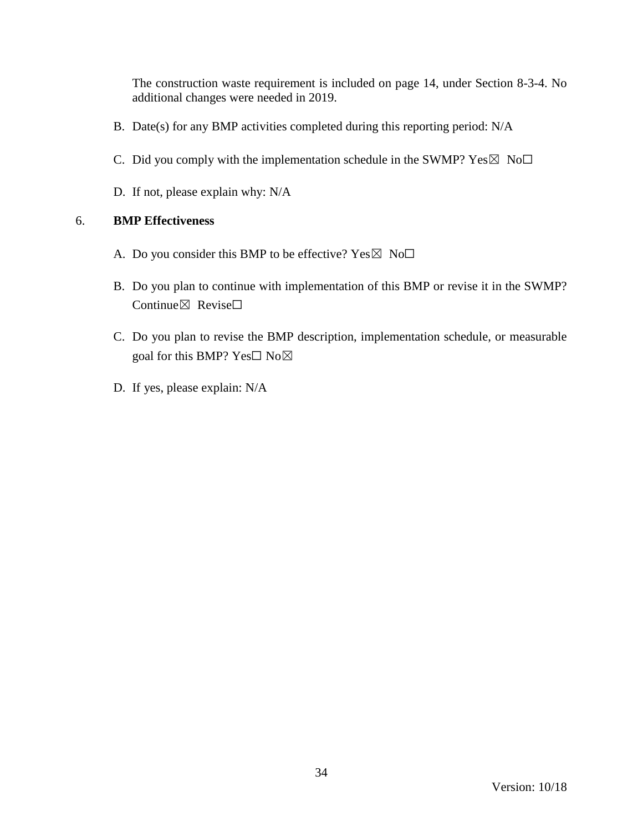The construction waste requirement is included on page 14, under Section 8-3-4. No additional changes were needed in 2019.

- B. Date(s) for any BMP activities completed during this reporting period: N/A
- C. Did you comply with the implementation schedule in the SWMP?  $Yes \boxtimes No \Box$
- D. If not, please explain why: N/A

- A. Do you consider this BMP to be effective? Yes  $\boxtimes$  No $\Box$
- B. Do you plan to continue with implementation of this BMP or revise it in the SWMP? Continue⊠ Revise□
- C. Do you plan to revise the BMP description, implementation schedule, or measurable goal for this BMP? Yes□ No⊠
- D. If yes, please explain: N/A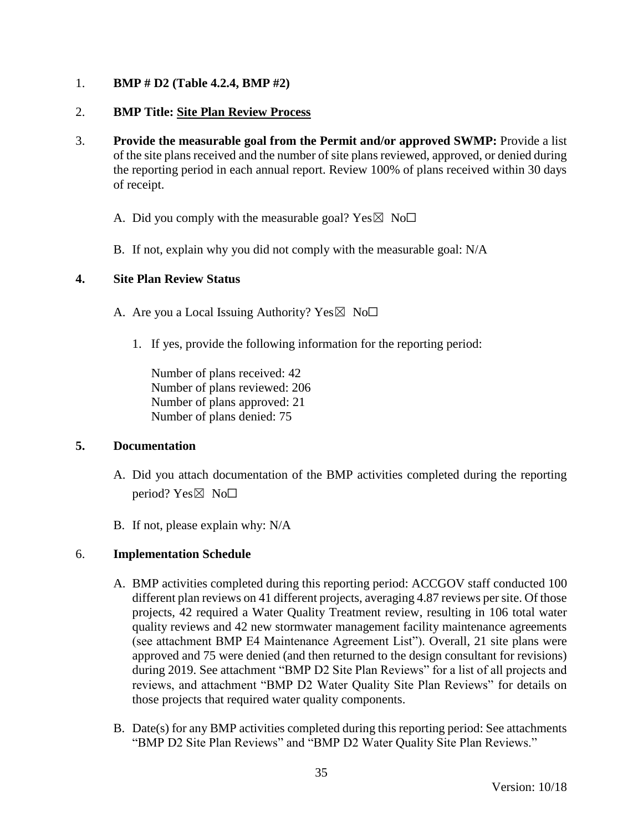## 1. **BMP # D2 (Table 4.2.4, BMP #2)**

### 2. **BMP Title: Site Plan Review Process**

- 3. **Provide the measurable goal from the Permit and/or approved SWMP:** Provide a list of the site plans received and the number of site plans reviewed, approved, or denied during the reporting period in each annual report. Review 100% of plans received within 30 days of receipt.
	- A. Did you comply with the measurable goal? Yes  $\boxtimes$  No $\Box$
	- B. If not, explain why you did not comply with the measurable goal: N/A

### **4. Site Plan Review Status**

- A. Are you a Local Issuing Authority? Yes  $\boxtimes$  No $\Box$ 
	- 1. If yes, provide the following information for the reporting period:

Number of plans received: 42 Number of plans reviewed: 206 Number of plans approved: 21 Number of plans denied: 75

#### **5. Documentation**

- A. Did you attach documentation of the BMP activities completed during the reporting period? Yes $\boxtimes$  No $\square$
- B. If not, please explain why: N/A

# 6. **Implementation Schedule**

- A. BMP activities completed during this reporting period: ACCGOV staff conducted 100 different plan reviews on 41 different projects, averaging 4.87 reviews per site. Of those projects, 42 required a Water Quality Treatment review, resulting in 106 total water quality reviews and 42 new stormwater management facility maintenance agreements (see attachment BMP E4 Maintenance Agreement List"). Overall, 21 site plans were approved and 75 were denied (and then returned to the design consultant for revisions) during 2019. See attachment "BMP D2 Site Plan Reviews" for a list of all projects and reviews, and attachment "BMP D2 Water Quality Site Plan Reviews" for details on those projects that required water quality components.
- B. Date(s) for any BMP activities completed during this reporting period: See attachments "BMP D2 Site Plan Reviews" and "BMP D2 Water Quality Site Plan Reviews."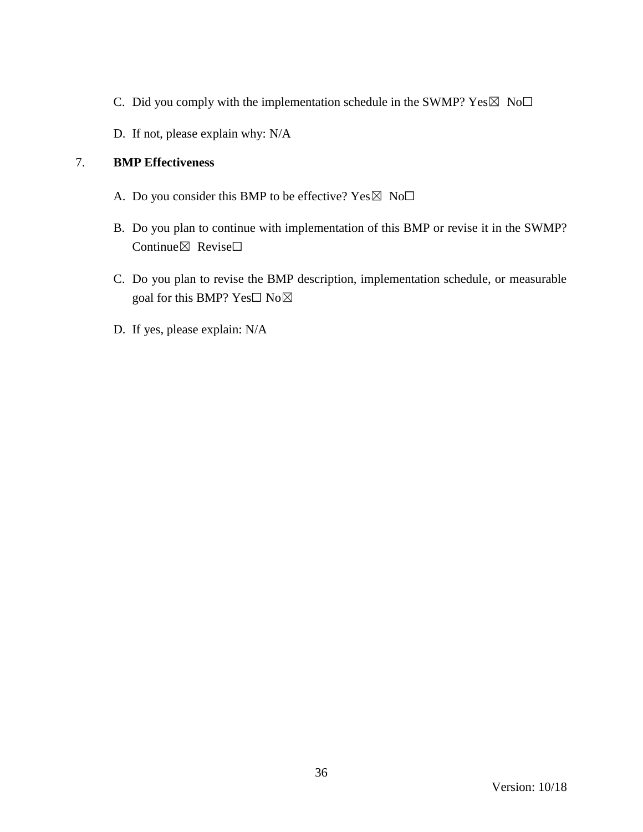- C. Did you comply with the implementation schedule in the SWMP?  $Yes \boxtimes No \Box$
- D. If not, please explain why: N/A

- A. Do you consider this BMP to be effective? Yes  $\boxtimes$  No $\Box$
- B. Do you plan to continue with implementation of this BMP or revise it in the SWMP? Continue⊠ Revise□
- C. Do you plan to revise the BMP description, implementation schedule, or measurable goal for this BMP? Yes□ No⊠
- D. If yes, please explain: N/A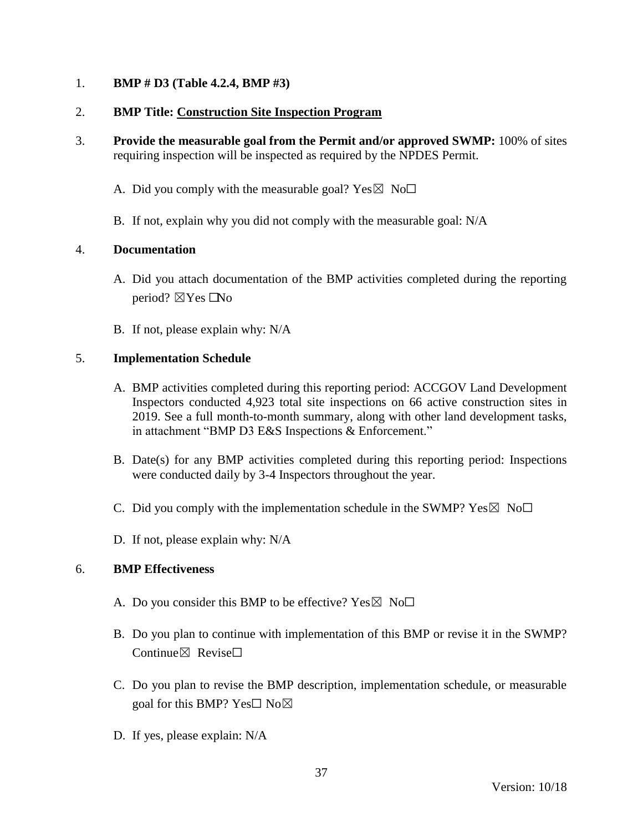## 1. **BMP # D3 (Table 4.2.4, BMP #3)**

## 2. **BMP Title: Construction Site Inspection Program**

- 3. **Provide the measurable goal from the Permit and/or approved SWMP:** 100% of sites requiring inspection will be inspected as required by the NPDES Permit.
	- A. Did you comply with the measurable goal? Yes  $\boxtimes$  No $\Box$
	- B. If not, explain why you did not comply with the measurable goal: N/A

## 4. **Documentation**

- A. Did you attach documentation of the BMP activities completed during the reporting period?  $\boxtimes$  Yes  $\Box$  No
- B. If not, please explain why: N/A

## 5. **Implementation Schedule**

- A. BMP activities completed during this reporting period: ACCGOV Land Development Inspectors conducted 4,923 total site inspections on 66 active construction sites in 2019. See a full month-to-month summary, along with other land development tasks, in attachment "BMP D3 E&S Inspections & Enforcement."
- B. Date(s) for any BMP activities completed during this reporting period: Inspections were conducted daily by 3-4 Inspectors throughout the year.
- C. Did you comply with the implementation schedule in the SWMP?  $Yes \boxtimes No \square$
- D. If not, please explain why: N/A

- A. Do you consider this BMP to be effective? Yes  $\boxtimes$  No $\Box$
- B. Do you plan to continue with implementation of this BMP or revise it in the SWMP? Continue $\boxtimes$  Revise $\Box$
- C. Do you plan to revise the BMP description, implementation schedule, or measurable goal for this BMP? Yes $\square$  No $\boxtimes$
- D. If yes, please explain: N/A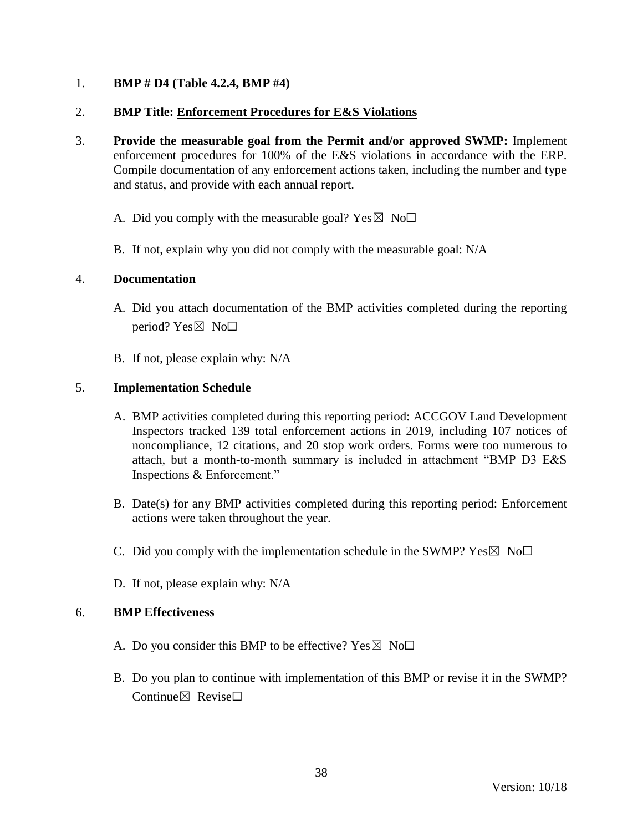## 1. **BMP # D4 (Table 4.2.4, BMP #4)**

## 2. **BMP Title: Enforcement Procedures for E&S Violations**

- 3. **Provide the measurable goal from the Permit and/or approved SWMP:** Implement enforcement procedures for 100% of the E&S violations in accordance with the ERP. Compile documentation of any enforcement actions taken, including the number and type and status, and provide with each annual report.
	- A. Did you comply with the measurable goal? Yes  $\boxtimes$  No $\Box$
	- B. If not, explain why you did not comply with the measurable goal: N/A

### 4. **Documentation**

- A. Did you attach documentation of the BMP activities completed during the reporting period? Yes $\boxtimes$  No $\square$
- B. If not, please explain why: N/A

## 5. **Implementation Schedule**

- A. BMP activities completed during this reporting period: ACCGOV Land Development Inspectors tracked 139 total enforcement actions in 2019, including 107 notices of noncompliance, 12 citations, and 20 stop work orders. Forms were too numerous to attach, but a month-to-month summary is included in attachment "BMP D3 E&S Inspections & Enforcement."
- B. Date(s) for any BMP activities completed during this reporting period: Enforcement actions were taken throughout the year.
- C. Did you comply with the implementation schedule in the SWMP?  $Yes \boxtimes No \Box$
- D. If not, please explain why: N/A

- A. Do you consider this BMP to be effective? Yes  $\boxtimes$  No $\Box$
- B. Do you plan to continue with implementation of this BMP or revise it in the SWMP?  $Confinite \times$  Revise $\Box$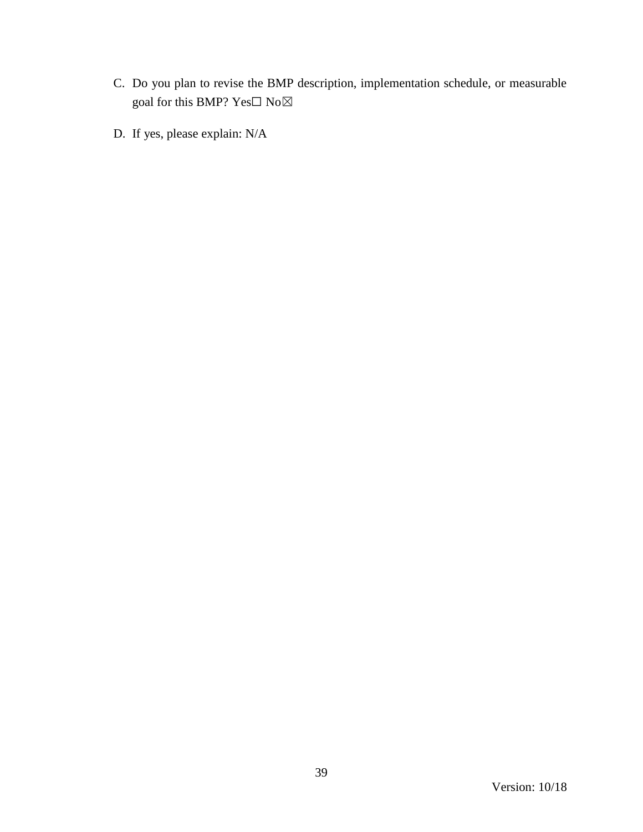- C. Do you plan to revise the BMP description, implementation schedule, or measurable goal for this BMP?  $\mathrm{Yes}\square$   $\mathrm{No}\boxtimes$
- D. If yes, please explain: N/A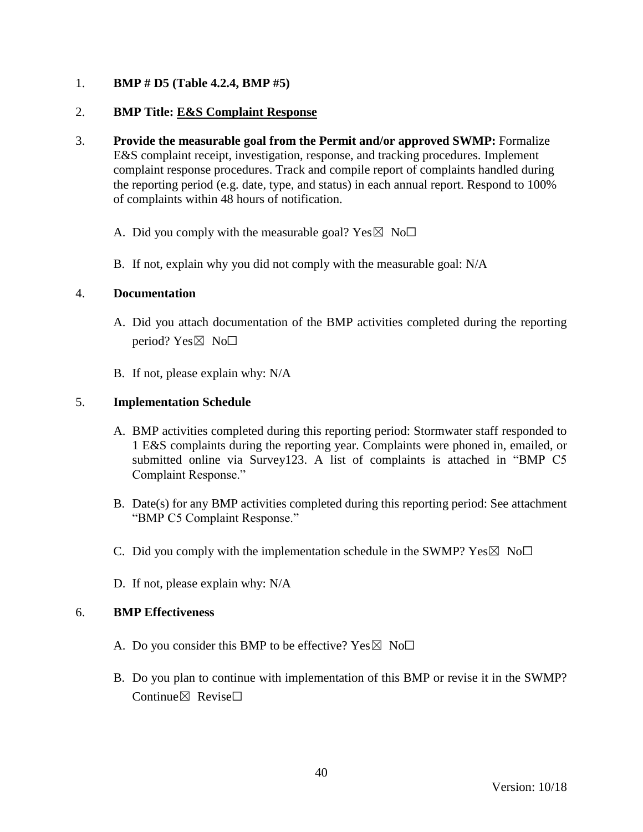## 1. **BMP # D5 (Table 4.2.4, BMP #5)**

## 2. **BMP Title: E&S Complaint Response**

- 3. **Provide the measurable goal from the Permit and/or approved SWMP:** Formalize E&S complaint receipt, investigation, response, and tracking procedures. Implement complaint response procedures. Track and compile report of complaints handled during the reporting period (e.g. date, type, and status) in each annual report. Respond to 100% of complaints within 48 hours of notification.
	- A. Did you comply with the measurable goal? Yes  $\boxtimes$  No $\Box$
	- B. If not, explain why you did not comply with the measurable goal: N/A

### 4. **Documentation**

- A. Did you attach documentation of the BMP activities completed during the reporting period?  $Yes \boxtimes No \Box$
- B. If not, please explain why: N/A

## 5. **Implementation Schedule**

- A. BMP activities completed during this reporting period: Stormwater staff responded to 1 E&S complaints during the reporting year. Complaints were phoned in, emailed, or submitted online via Survey123. A list of complaints is attached in "BMP C5 Complaint Response."
- B. Date(s) for any BMP activities completed during this reporting period: See attachment "BMP C5 Complaint Response."
- C. Did you comply with the implementation schedule in the SWMP?  $Yes \boxtimes No\square$
- D. If not, please explain why: N/A

- A. Do you consider this BMP to be effective? Yes  $\boxtimes$  No $\Box$
- B. Do you plan to continue with implementation of this BMP or revise it in the SWMP?  $Confinite \times$  Revise $\Box$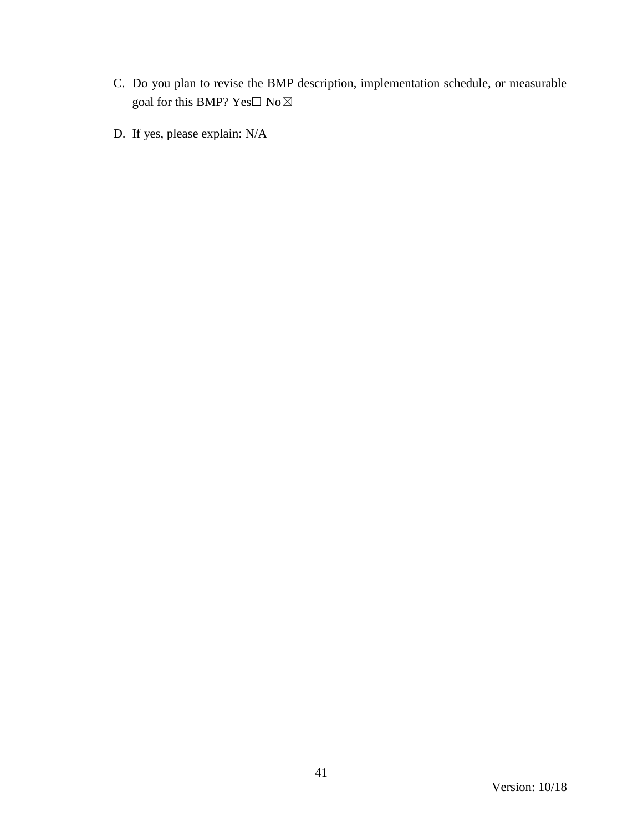- C. Do you plan to revise the BMP description, implementation schedule, or measurable goal for this BMP?  $\mathrm{Yes}\square$   $\mathrm{No}\boxtimes$
- D. If yes, please explain: N/A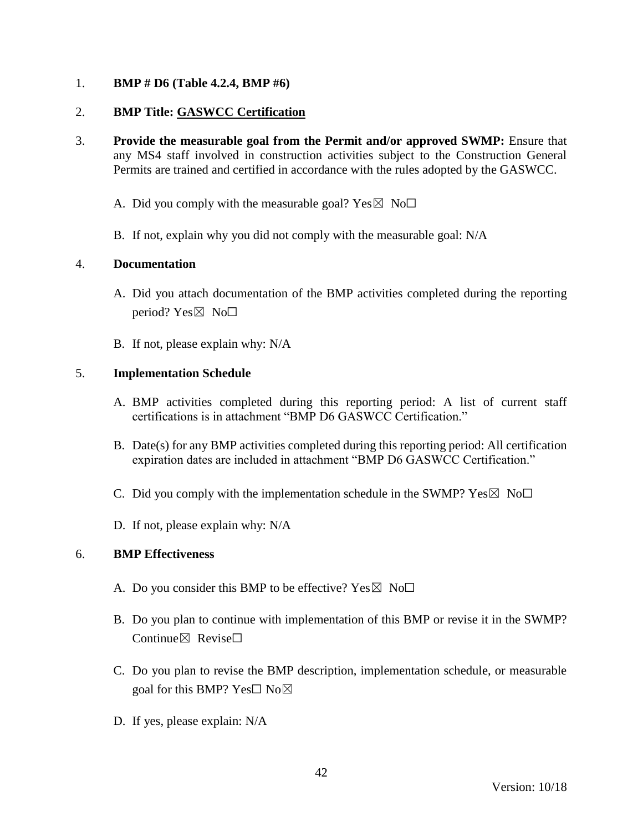## 1. **BMP # D6 (Table 4.2.4, BMP #6)**

## 2. **BMP Title: GASWCC Certification**

- 3. **Provide the measurable goal from the Permit and/or approved SWMP:** Ensure that any MS4 staff involved in construction activities subject to the Construction General Permits are trained and certified in accordance with the rules adopted by the GASWCC.
	- A. Did you comply with the measurable goal? Yes  $\boxtimes$  No $\Box$
	- B. If not, explain why you did not comply with the measurable goal: N/A

## 4. **Documentation**

- A. Did you attach documentation of the BMP activities completed during the reporting period?  $Yes \boxtimes No \square$
- B. If not, please explain why: N/A

## 5. **Implementation Schedule**

- A. BMP activities completed during this reporting period: A list of current staff certifications is in attachment "BMP D6 GASWCC Certification."
- B. Date(s) for any BMP activities completed during this reporting period: All certification expiration dates are included in attachment "BMP D6 GASWCC Certification."
- C. Did you comply with the implementation schedule in the SWMP?  $Yes \boxtimes No \square$
- D. If not, please explain why: N/A

- A. Do you consider this BMP to be effective? Yes  $\boxtimes$  No $\Box$
- B. Do you plan to continue with implementation of this BMP or revise it in the SWMP? Continue $\nabla$  Revise $\nabla$
- C. Do you plan to revise the BMP description, implementation schedule, or measurable goal for this BMP? Yes□ No⊠
- D. If yes, please explain: N/A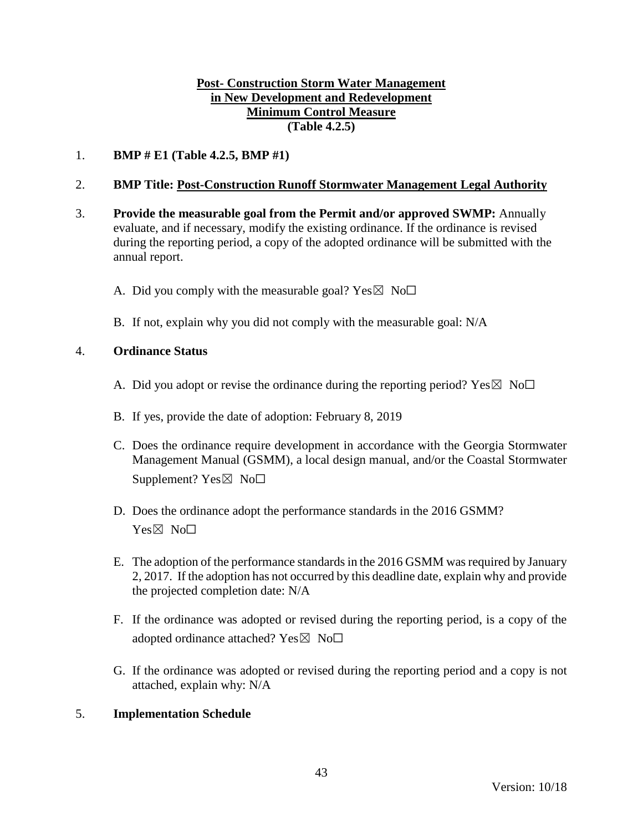## **Post- Construction Storm Water Management in New Development and Redevelopment Minimum Control Measure (Table 4.2.5)**

1. **BMP # E1 (Table 4.2.5, BMP #1)**

## 2. **BMP Title: Post-Construction Runoff Stormwater Management Legal Authority**

- 3. **Provide the measurable goal from the Permit and/or approved SWMP:** Annually evaluate, and if necessary, modify the existing ordinance. If the ordinance is revised during the reporting period, a copy of the adopted ordinance will be submitted with the annual report.
	- A. Did you comply with the measurable goal? Yes  $\boxtimes$  No $\Box$
	- B. If not, explain why you did not comply with the measurable goal: N/A

### 4. **Ordinance Status**

- A. Did you adopt or revise the ordinance during the reporting period? Yes  $\boxtimes$  No $\Box$
- B. If yes, provide the date of adoption: February 8, 2019
- C. Does the ordinance require development in accordance with the Georgia Stormwater Management Manual (GSMM), a local design manual, and/or the Coastal Stormwater Supplement?  $Yes \boxtimes No \Box$
- D. Does the ordinance adopt the performance standards in the 2016 GSMM? Yes⊠ No<sub>□</sub>
- E. The adoption of the performance standards in the 2016 GSMM wasrequired by January 2, 2017. If the adoption has not occurred by this deadline date, explain why and provide the projected completion date: N/A
- F. If the ordinance was adopted or revised during the reporting period, is a copy of the adopted ordinance attached? Yes $\boxtimes$  No $\Box$
- G. If the ordinance was adopted or revised during the reporting period and a copy is not attached, explain why: N/A

### 5. **Implementation Schedule**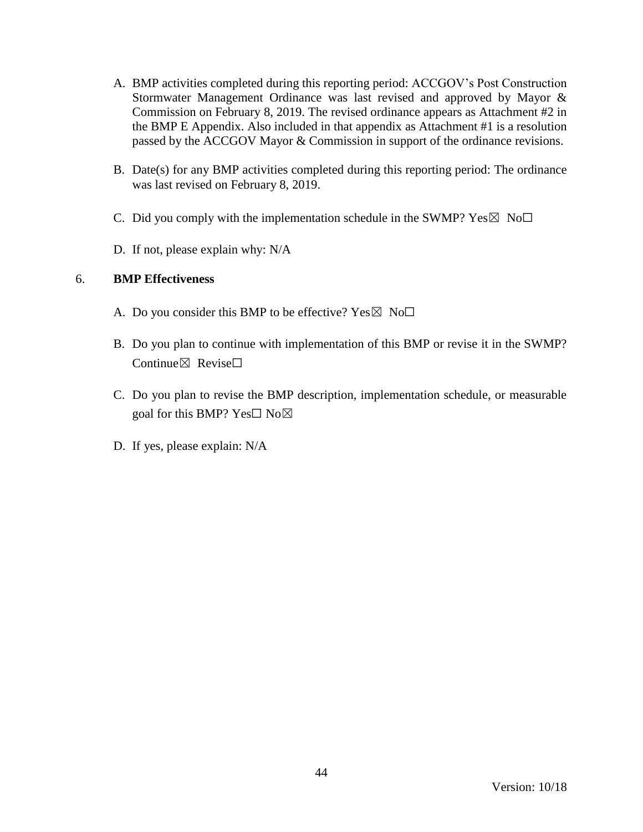- A. BMP activities completed during this reporting period: ACCGOV's Post Construction Stormwater Management Ordinance was last revised and approved by Mayor & Commission on February 8, 2019. The revised ordinance appears as Attachment #2 in the BMP E Appendix. Also included in that appendix as Attachment #1 is a resolution passed by the ACCGOV Mayor & Commission in support of the ordinance revisions.
- B. Date(s) for any BMP activities completed during this reporting period: The ordinance was last revised on February 8, 2019.
- C. Did you comply with the implementation schedule in the SWMP?  $Yes \boxtimes No \square$
- D. If not, please explain why: N/A

- A. Do you consider this BMP to be effective? Yes  $\boxtimes$  No $\Box$
- B. Do you plan to continue with implementation of this BMP or revise it in the SWMP? Continue $\boxtimes$  Revise $\Box$
- C. Do you plan to revise the BMP description, implementation schedule, or measurable goal for this BMP? Yes $\square$  No $\boxtimes$
- D. If yes, please explain: N/A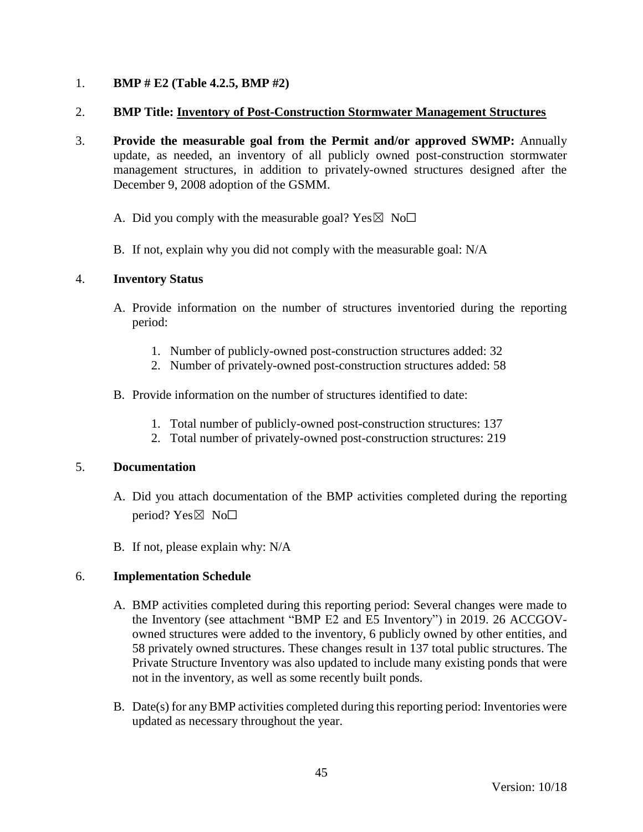## 1. **BMP # E2 (Table 4.2.5, BMP #2)**

### 2. **BMP Title: Inventory of Post-Construction Stormwater Management Structures**

- 3. **Provide the measurable goal from the Permit and/or approved SWMP:** Annually update, as needed, an inventory of all publicly owned post-construction stormwater management structures, in addition to privately-owned structures designed after the December 9, 2008 adoption of the GSMM.
	- A. Did you comply with the measurable goal? Yes  $\boxtimes$  No $\Box$
	- B. If not, explain why you did not comply with the measurable goal: N/A

### 4. **Inventory Status**

- A. Provide information on the number of structures inventoried during the reporting period:
	- 1. Number of publicly-owned post-construction structures added: 32
	- 2. Number of privately-owned post-construction structures added: 58
- B. Provide information on the number of structures identified to date:
	- 1. Total number of publicly-owned post-construction structures: 137
	- 2. Total number of privately-owned post-construction structures: 219

### 5. **Documentation**

- A. Did you attach documentation of the BMP activities completed during the reporting period?  $Yes \boxtimes No \Box$
- B. If not, please explain why: N/A

### 6. **Implementation Schedule**

- A. BMP activities completed during this reporting period: Several changes were made to the Inventory (see attachment "BMP E2 and E5 Inventory") in 2019. 26 ACCGOVowned structures were added to the inventory, 6 publicly owned by other entities, and 58 privately owned structures. These changes result in 137 total public structures. The Private Structure Inventory was also updated to include many existing ponds that were not in the inventory, as well as some recently built ponds.
- B. Date(s) for any BMP activities completed during this reporting period: Inventories were updated as necessary throughout the year.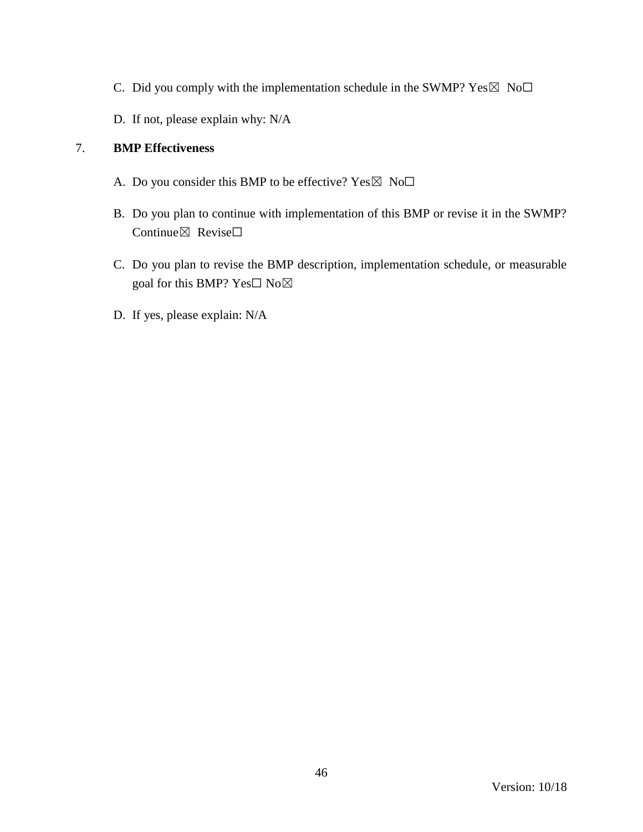- C. Did you comply with the implementation schedule in the SWMP?  $Yes \boxtimes No\square$
- D. If not, please explain why: N/A

- A. Do you consider this BMP to be effective?  $Yes \boxtimes No\square$
- B. Do you plan to continue with implementation of this BMP or revise it in the SWMP? Continue⊠ Revise□
- C. Do you plan to revise the BMP description, implementation schedule, or measurable goal for this BMP? Yes□ No⊠
- D. If yes, please explain: N/A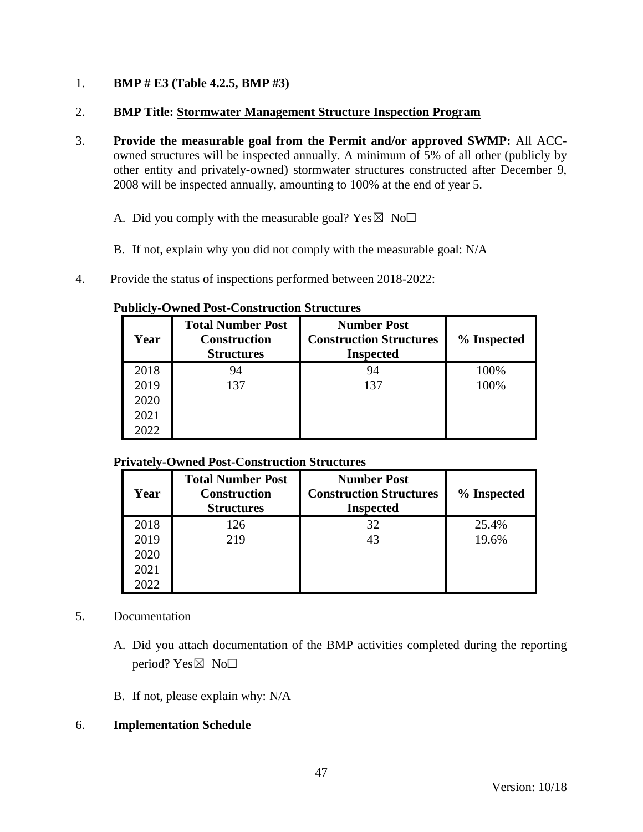## 1. **BMP # E3 (Table 4.2.5, BMP #3)**

## 2. **BMP Title: Stormwater Management Structure Inspection Program**

- 3. **Provide the measurable goal from the Permit and/or approved SWMP:** All ACCowned structures will be inspected annually. A minimum of 5% of all other (publicly by other entity and privately-owned) stormwater structures constructed after December 9, 2008 will be inspected annually, amounting to 100% at the end of year 5.
	- A. Did you comply with the measurable goal? Yes  $\boxtimes$  No $\Box$
	- B. If not, explain why you did not comply with the measurable goal: N/A
- 4. Provide the status of inspections performed between 2018-2022:

#### **Publicly-Owned Post-Construction Structures**

| Year | <b>Total Number Post</b><br><b>Construction</b><br><b>Structures</b> | <b>Number Post</b><br><b>Construction Structures</b><br><b>Inspected</b> | % Inspected |
|------|----------------------------------------------------------------------|--------------------------------------------------------------------------|-------------|
| 2018 | 94                                                                   | 94                                                                       | 100%        |
| 2019 | 137                                                                  | 137                                                                      | 100%        |
| 2020 |                                                                      |                                                                          |             |
| 2021 |                                                                      |                                                                          |             |
| 2022 |                                                                      |                                                                          |             |

### **Privately-Owned Post-Construction Structures**

| Year | <b>Total Number Post</b><br><b>Construction</b><br><b>Structures</b> | <b>Number Post</b><br><b>Construction Structures</b><br><b>Inspected</b> | % Inspected |
|------|----------------------------------------------------------------------|--------------------------------------------------------------------------|-------------|
| 2018 | 126                                                                  | 32                                                                       | 25.4%       |
| 2019 | 219                                                                  |                                                                          | 19.6%       |
| 2020 |                                                                      |                                                                          |             |
| 2021 |                                                                      |                                                                          |             |
| 2022 |                                                                      |                                                                          |             |

# 5. Documentation

- A. Did you attach documentation of the BMP activities completed during the reporting period? Yes $\boxtimes$  No $\square$
- B. If not, please explain why: N/A

# 6. **Implementation Schedule**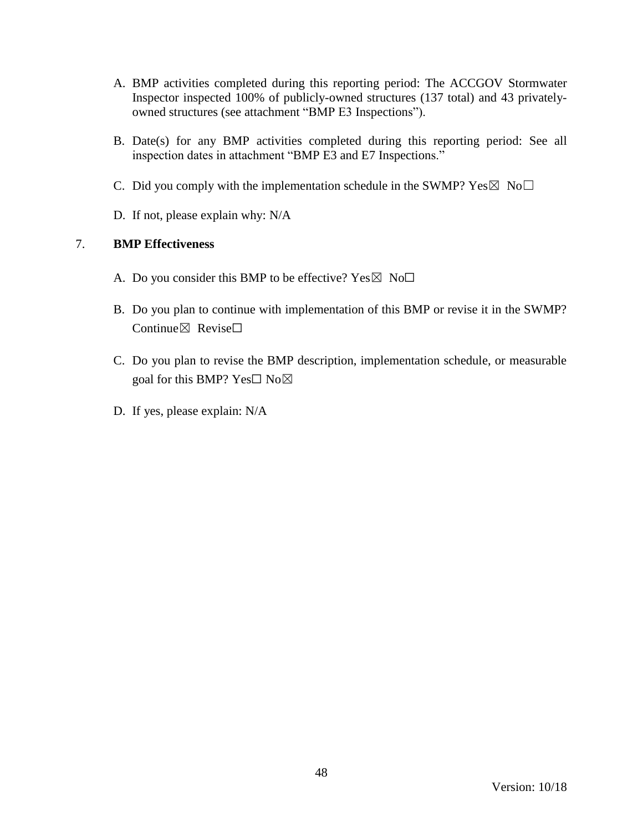- A. BMP activities completed during this reporting period: The ACCGOV Stormwater Inspector inspected 100% of publicly-owned structures (137 total) and 43 privatelyowned structures (see attachment "BMP E3 Inspections").
- B. Date(s) for any BMP activities completed during this reporting period: See all inspection dates in attachment "BMP E3 and E7 Inspections."
- C. Did you comply with the implementation schedule in the SWMP?  $Yes \boxtimes No \square$
- D. If not, please explain why: N/A

- A. Do you consider this BMP to be effective? Yes  $\boxtimes$  No $\Box$
- B. Do you plan to continue with implementation of this BMP or revise it in the SWMP? Continue⊠ Revise□
- C. Do you plan to revise the BMP description, implementation schedule, or measurable goal for this BMP? Yes□ No⊠
- D. If yes, please explain: N/A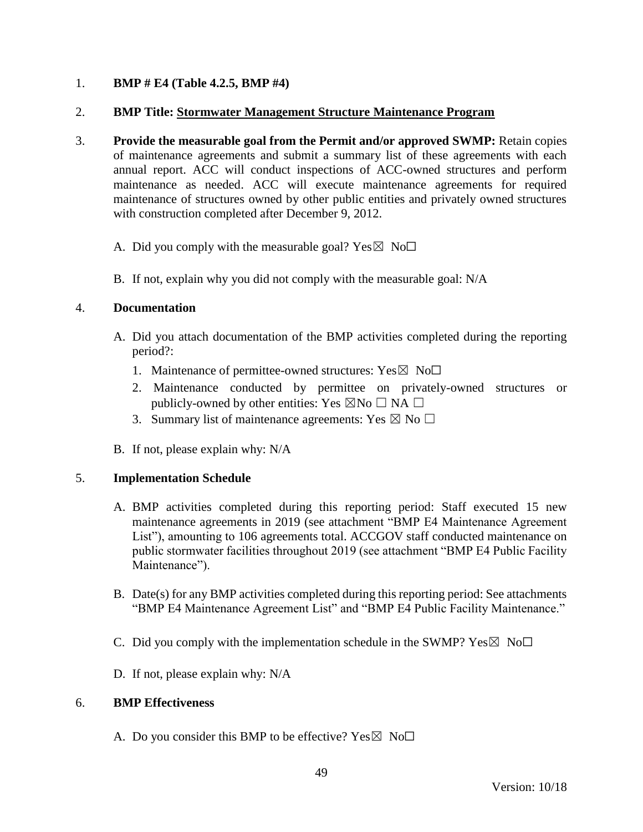## 1. **BMP # E4 (Table 4.2.5, BMP #4)**

### 2. **BMP Title: Stormwater Management Structure Maintenance Program**

- 3. **Provide the measurable goal from the Permit and/or approved SWMP:** Retain copies of maintenance agreements and submit a summary list of these agreements with each annual report. ACC will conduct inspections of ACC-owned structures and perform maintenance as needed. ACC will execute maintenance agreements for required maintenance of structures owned by other public entities and privately owned structures with construction completed after December 9, 2012.
	- A. Did you comply with the measurable goal? Yes  $\boxtimes$  No $\Box$
	- B. If not, explain why you did not comply with the measurable goal: N/A

### 4. **Documentation**

- A. Did you attach documentation of the BMP activities completed during the reporting period?:
	- 1. Maintenance of permittee-owned structures:  $Yes \boxtimes No\square$
	- 2. Maintenance conducted by permittee on privately-owned structures or publicly-owned by other entities: Yes  $\boxtimes$ No  $\Box$  NA  $\Box$
	- 3. Summary list of maintenance agreements: Yes  $\boxtimes$  No  $\square$
- B. If not, please explain why: N/A

### 5. **Implementation Schedule**

- A. BMP activities completed during this reporting period: Staff executed 15 new maintenance agreements in 2019 (see attachment "BMP E4 Maintenance Agreement List"), amounting to 106 agreements total. ACCGOV staff conducted maintenance on public stormwater facilities throughout 2019 (see attachment "BMP E4 Public Facility Maintenance").
- B. Date(s) for any BMP activities completed during this reporting period: See attachments "BMP E4 Maintenance Agreement List" and "BMP E4 Public Facility Maintenance."
- C. Did you comply with the implementation schedule in the SWMP?  $Yes \boxtimes No \Box$
- D. If not, please explain why: N/A

### 6. **BMP Effectiveness**

A. Do you consider this BMP to be effective? Yes  $\boxtimes$  No $\Box$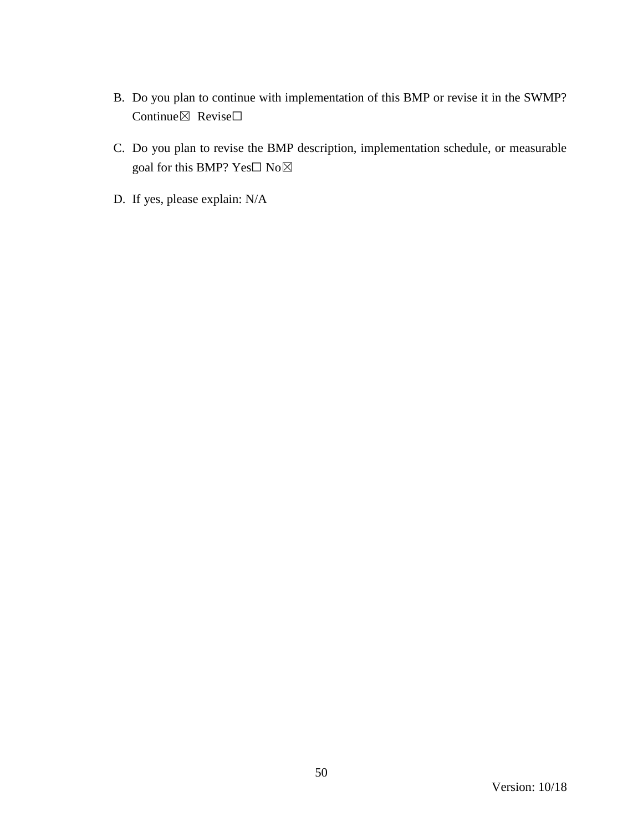- B. Do you plan to continue with implementation of this BMP or revise it in the SWMP? Continue⊠ Revise□
- C. Do you plan to revise the BMP description, implementation schedule, or measurable goal for this BMP? Yes□ No⊠
- D. If yes, please explain: N/A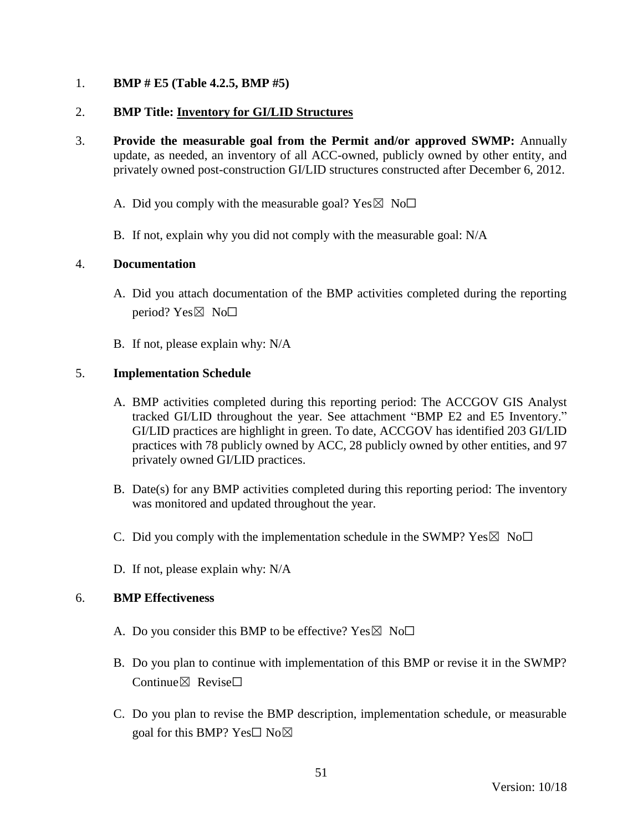## 1. **BMP # E5 (Table 4.2.5, BMP #5)**

## 2. **BMP Title: Inventory for GI/LID Structures**

- 3. **Provide the measurable goal from the Permit and/or approved SWMP:** Annually update, as needed, an inventory of all ACC-owned, publicly owned by other entity, and privately owned post-construction GI/LID structures constructed after December 6, 2012.
	- A. Did you comply with the measurable goal? Yes  $\boxtimes$  No $\Box$
	- B. If not, explain why you did not comply with the measurable goal: N/A

## 4. **Documentation**

- A. Did you attach documentation of the BMP activities completed during the reporting period?  $Yes \boxtimes No \square$
- B. If not, please explain why: N/A

## 5. **Implementation Schedule**

- A. BMP activities completed during this reporting period: The ACCGOV GIS Analyst tracked GI/LID throughout the year. See attachment "BMP E2 and E5 Inventory." GI/LID practices are highlight in green. To date, ACCGOV has identified 203 GI/LID practices with 78 publicly owned by ACC, 28 publicly owned by other entities, and 97 privately owned GI/LID practices.
- B. Date(s) for any BMP activities completed during this reporting period: The inventory was monitored and updated throughout the year.
- C. Did you comply with the implementation schedule in the SWMP?  $Yes \boxtimes No \Box$
- D. If not, please explain why: N/A

- A. Do you consider this BMP to be effective? Yes  $\boxtimes$  No $\Box$
- B. Do you plan to continue with implementation of this BMP or revise it in the SWMP? Continue $\boxtimes$  Revise $\Box$
- C. Do you plan to revise the BMP description, implementation schedule, or measurable goal for this BMP? Yes $\square$  No $\square$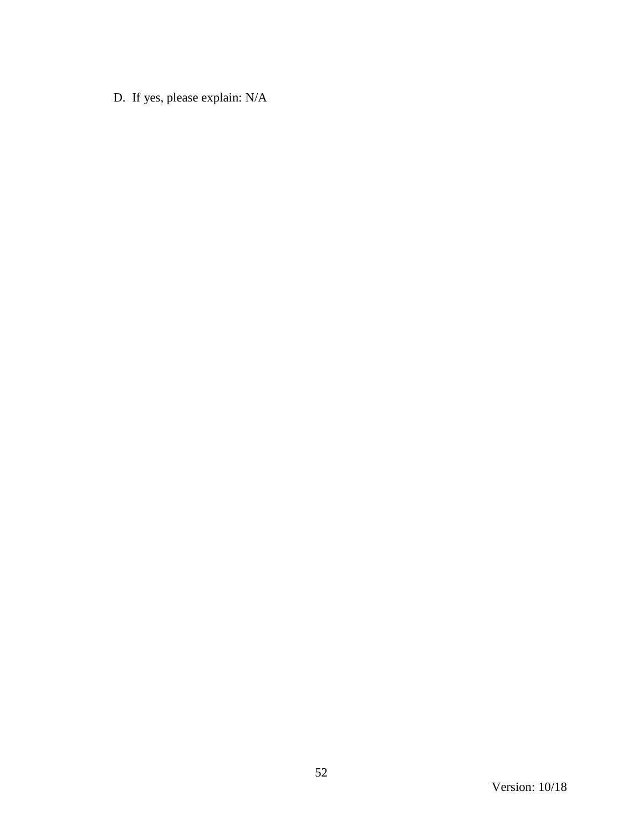D. If yes, please explain: N/A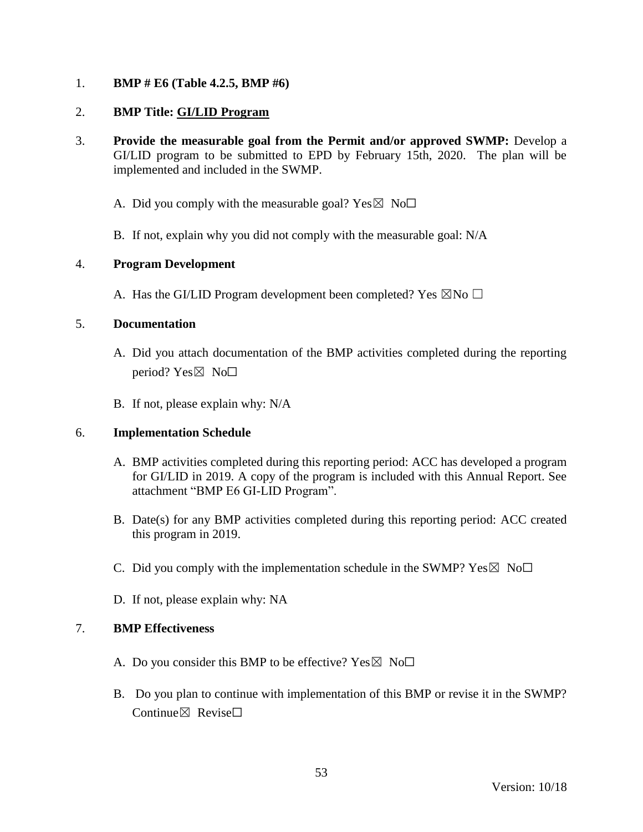## 1. **BMP # E6 (Table 4.2.5, BMP #6)**

## 2. **BMP Title: GI/LID Program**

- 3. **Provide the measurable goal from the Permit and/or approved SWMP:** Develop a GI/LID program to be submitted to EPD by February 15th, 2020. The plan will be implemented and included in the SWMP.
	- A. Did you comply with the measurable goal? Yes  $\boxtimes$  No $\Box$
	- B. If not, explain why you did not comply with the measurable goal: N/A

## 4. **Program Development**

A. Has the GI/LID Program development been completed? Yes  $\boxtimes$ No  $\Box$ 

## 5. **Documentation**

- A. Did you attach documentation of the BMP activities completed during the reporting period? Yes $\boxtimes$  No $\square$
- B. If not, please explain why: N/A

### 6. **Implementation Schedule**

- A. BMP activities completed during this reporting period: ACC has developed a program for GI/LID in 2019. A copy of the program is included with this Annual Report. See attachment "BMP E6 GI-LID Program".
- B. Date(s) for any BMP activities completed during this reporting period: ACC created this program in 2019.
- C. Did you comply with the implementation schedule in the SWMP?  $Yes \boxtimes No\square$
- D. If not, please explain why: NA

- A. Do you consider this BMP to be effective? Yes  $\boxtimes$  No $\Box$
- B. Do you plan to continue with implementation of this BMP or revise it in the SWMP? Continue $\boxtimes$  Revise $\Box$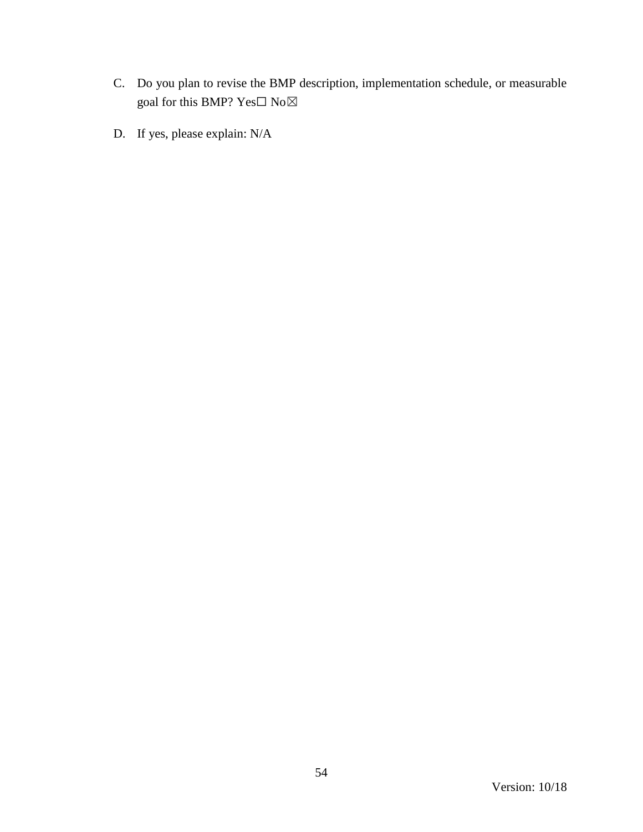- C. Do you plan to revise the BMP description, implementation schedule, or measurable goal for this BMP?  $\mathrm{Yes}\square$   $\mathrm{No}\boxtimes$
- D. If yes, please explain: N/A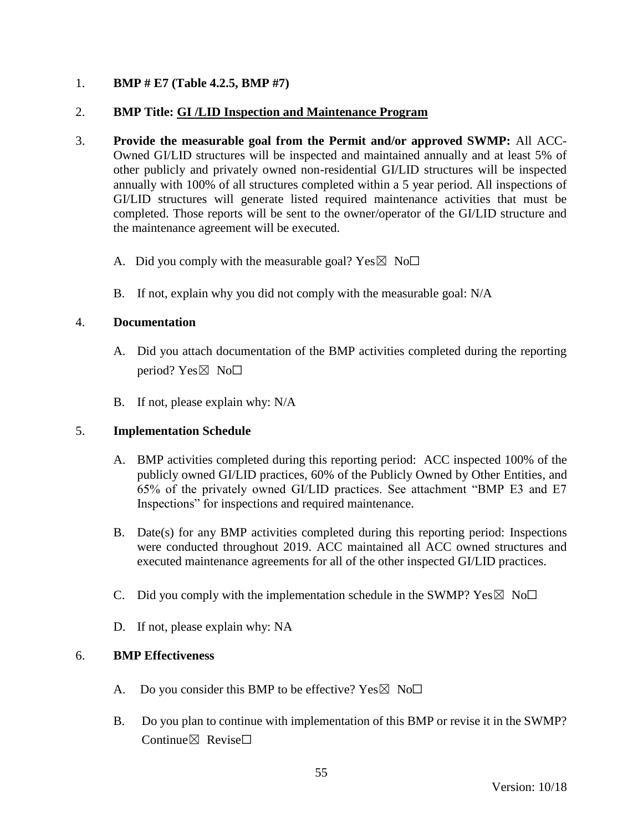## 1. **BMP # E7 (Table 4.2.5, BMP #7)**

## 2. **BMP Title: GI /LID Inspection and Maintenance Program**

- 3. **Provide the measurable goal from the Permit and/or approved SWMP:** All ACC-Owned GI/LID structures will be inspected and maintained annually and at least 5% of other publicly and privately owned non-residential GI/LID structures will be inspected annually with 100% of all structures completed within a 5 year period. All inspections of GI/LID structures will generate listed required maintenance activities that must be completed. Those reports will be sent to the owner/operator of the GI/LID structure and the maintenance agreement will be executed.
	- A. Did you comply with the measurable goal? Yes  $\boxtimes$  No $\Box$
	- B. If not, explain why you did not comply with the measurable goal: N/A

## 4. **Documentation**

- A. Did you attach documentation of the BMP activities completed during the reporting period? Yes $\boxtimes$  No $\square$
- B. If not, please explain why: N/A

### 5. **Implementation Schedule**

- A. BMP activities completed during this reporting period: ACC inspected 100% of the publicly owned GI/LID practices, 60% of the Publicly Owned by Other Entities, and 65% of the privately owned GI/LID practices. See attachment "BMP E3 and E7 Inspections" for inspections and required maintenance.
- B. Date(s) for any BMP activities completed during this reporting period: Inspections were conducted throughout 2019. ACC maintained all ACC owned structures and executed maintenance agreements for all of the other inspected GI/LID practices.
- C. Did you comply with the implementation schedule in the SWMP?  $Yes \boxtimes No\square$
- D. If not, please explain why: NA

- A. Do you consider this BMP to be effective? Yes  $\boxtimes$  No $\Box$
- B. Do you plan to continue with implementation of this BMP or revise it in the SWMP? Continue⊠ Revise□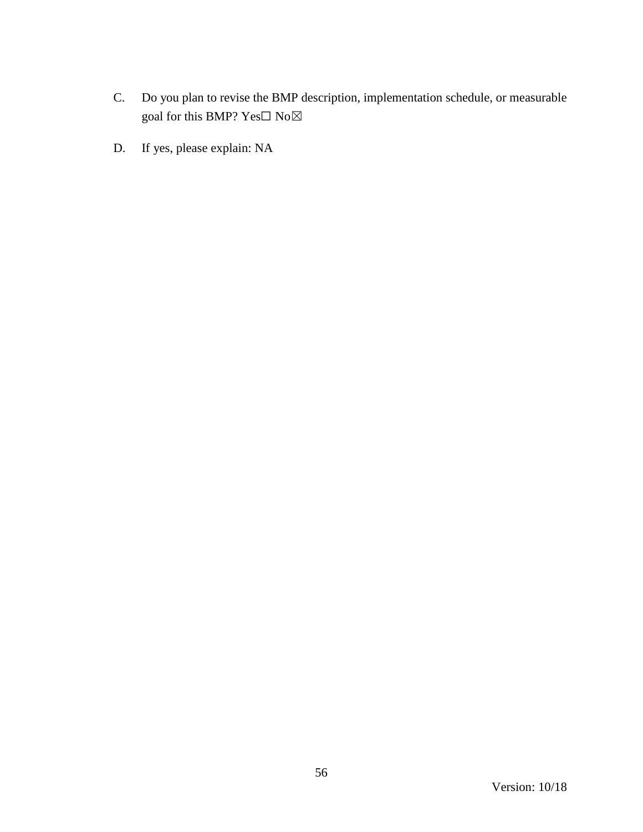- C. Do you plan to revise the BMP description, implementation schedule, or measurable goal for this BMP? Yes $\Box$  No $\boxtimes$
- D. If yes, please explain: NA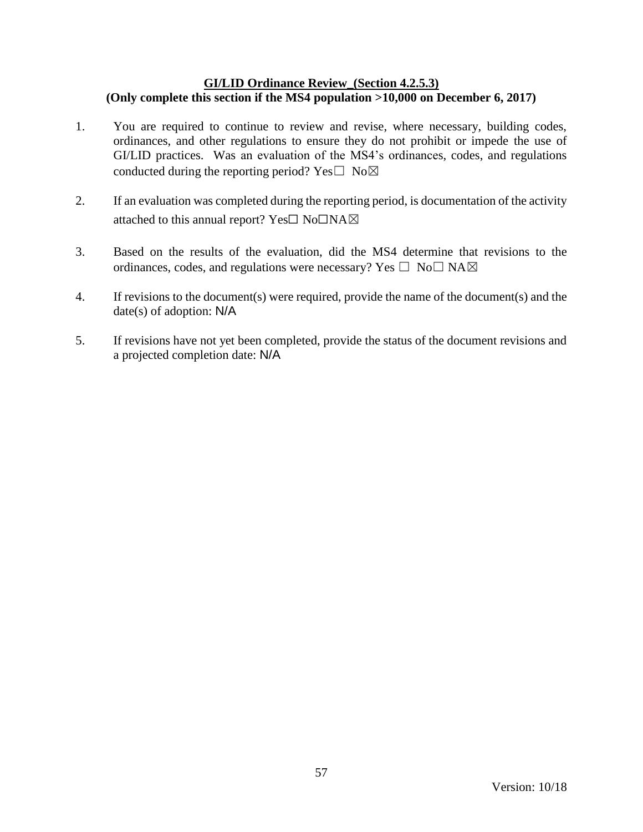### **GI/LID Ordinance Review\_(Section 4.2.5.3) (Only complete this section if the MS4 population >10,000 on December 6, 2017)**

- 1. You are required to continue to review and revise, where necessary, building codes, ordinances, and other regulations to ensure they do not prohibit or impede the use of GI/LID practices. Was an evaluation of the MS4's ordinances, codes, and regulations conducted during the reporting period? Yes $\square$  No $\boxtimes$
- 2. If an evaluation was completed during the reporting period, is documentation of the activity attached to this annual report? Yes☐ No☐NA☒
- 3. Based on the results of the evaluation, did the MS4 determine that revisions to the ordinances, codes, and regulations were necessary? Yes  $\Box$  No $\Box$  NA $\boxtimes$
- 4. If revisions to the document(s) were required, provide the name of the document(s) and the date(s) of adoption: N/A
- 5. If revisions have not yet been completed, provide the status of the document revisions and a projected completion date: N/A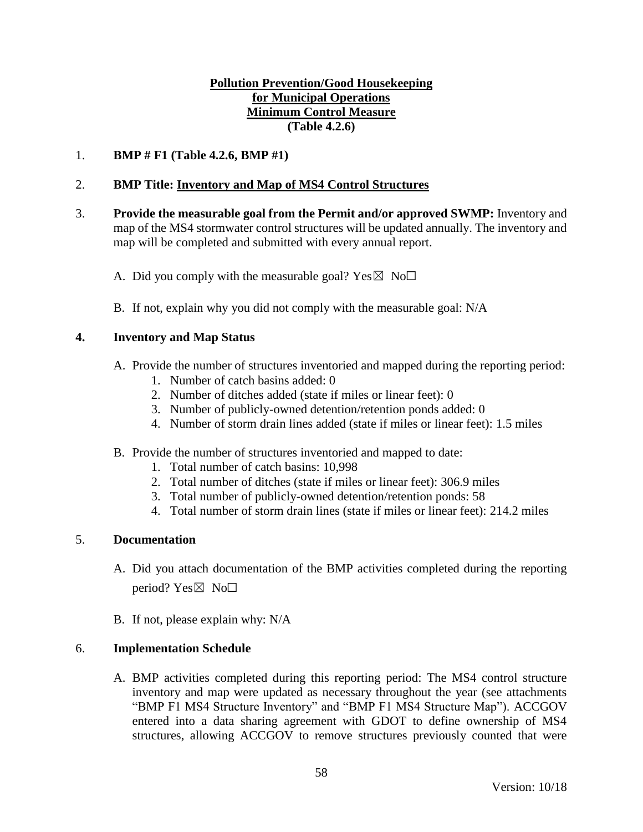## **Pollution Prevention/Good Housekeeping for Municipal Operations Minimum Control Measure (Table 4.2.6)**

## 1. **BMP # F1 (Table 4.2.6, BMP #1)**

## 2. **BMP Title: Inventory and Map of MS4 Control Structures**

- 3. **Provide the measurable goal from the Permit and/or approved SWMP:** Inventory and map of the MS4 stormwater control structures will be updated annually. The inventory and map will be completed and submitted with every annual report.
	- A. Did you comply with the measurable goal? Yes  $\boxtimes$  No $\Box$
	- B. If not, explain why you did not comply with the measurable goal: N/A

### **4. Inventory and Map Status**

- A. Provide the number of structures inventoried and mapped during the reporting period:
	- 1. Number of catch basins added: 0
	- 2. Number of ditches added (state if miles or linear feet): 0
	- 3. Number of publicly-owned detention/retention ponds added: 0
	- 4. Number of storm drain lines added (state if miles or linear feet): 1.5 miles
- B. Provide the number of structures inventoried and mapped to date:
	- 1. Total number of catch basins: 10,998
	- 2. Total number of ditches (state if miles or linear feet): 306.9 miles
	- 3. Total number of publicly-owned detention/retention ponds: 58
	- 4. Total number of storm drain lines (state if miles or linear feet): 214.2 miles

## 5. **Documentation**

- A. Did you attach documentation of the BMP activities completed during the reporting period? Yes $\boxtimes$  No $\square$
- B. If not, please explain why: N/A

### 6. **Implementation Schedule**

A. BMP activities completed during this reporting period: The MS4 control structure inventory and map were updated as necessary throughout the year (see attachments "BMP F1 MS4 Structure Inventory" and "BMP F1 MS4 Structure Map"). ACCGOV entered into a data sharing agreement with GDOT to define ownership of MS4 structures, allowing ACCGOV to remove structures previously counted that were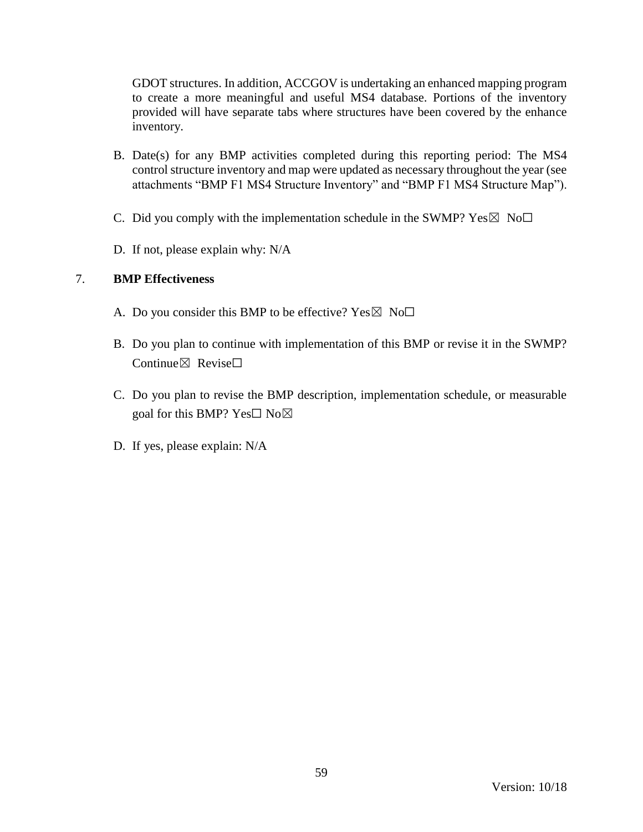GDOT structures. In addition, ACCGOV is undertaking an enhanced mapping program to create a more meaningful and useful MS4 database. Portions of the inventory provided will have separate tabs where structures have been covered by the enhance inventory.

- B. Date(s) for any BMP activities completed during this reporting period: The MS4 control structure inventory and map were updated as necessary throughout the year (see attachments "BMP F1 MS4 Structure Inventory" and "BMP F1 MS4 Structure Map").
- C. Did you comply with the implementation schedule in the SWMP?  $Yes \boxtimes No \Box$
- D. If not, please explain why: N/A

- A. Do you consider this BMP to be effective? Yes  $\boxtimes$  No $\Box$
- B. Do you plan to continue with implementation of this BMP or revise it in the SWMP? Continue $\boxtimes$  Revise $\Box$
- C. Do you plan to revise the BMP description, implementation schedule, or measurable goal for this BMP? Yes $\square$  No $\boxtimes$
- D. If yes, please explain: N/A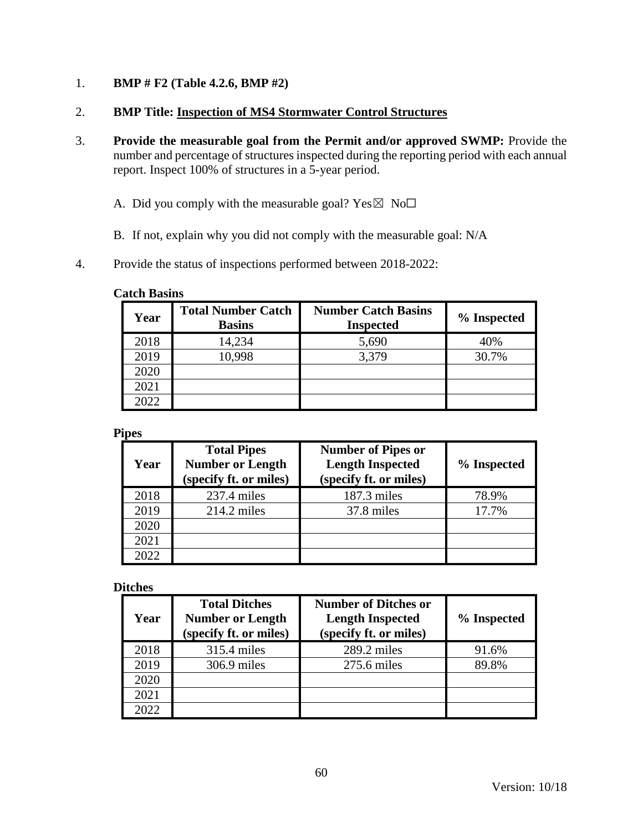- 1. **BMP # F2 (Table 4.2.6, BMP #2)**
- 2. **BMP Title: Inspection of MS4 Stormwater Control Structures**
- 3. **Provide the measurable goal from the Permit and/or approved SWMP:** Provide the number and percentage of structures inspected during the reporting period with each annual report. Inspect 100% of structures in a 5-year period.
	- A. Did you comply with the measurable goal? Yes $\boxtimes$  No $\Box$
	- B. If not, explain why you did not comply with the measurable goal: N/A
- 4. Provide the status of inspections performed between 2018-2022:

#### **Catch Basins**

| Year | <b>Total Number Catch</b><br><b>Basins</b> | <b>Number Catch Basins</b><br><b>Inspected</b> | % Inspected |
|------|--------------------------------------------|------------------------------------------------|-------------|
| 2018 | 14,234                                     | 5,690                                          | 40%         |
| 2019 | 10,998                                     | 3,379                                          | 30.7%       |
| 2020 |                                            |                                                |             |
| 2021 |                                            |                                                |             |
| 2022 |                                            |                                                |             |

#### **Pipes**

| Year | <b>Total Pipes</b><br><b>Number or Length</b><br>(specify ft. or miles) | <b>Number of Pipes or</b><br><b>Length Inspected</b><br>(specify ft. or miles) | % Inspected |
|------|-------------------------------------------------------------------------|--------------------------------------------------------------------------------|-------------|
| 2018 | $237.4$ miles                                                           | 187.3 miles                                                                    | 78.9%       |
| 2019 | $214.2$ miles                                                           | 37.8 miles                                                                     | 17.7%       |
| 2020 |                                                                         |                                                                                |             |
| 2021 |                                                                         |                                                                                |             |
| 2022 |                                                                         |                                                                                |             |

#### **Ditches**

| Year | <b>Total Ditches</b><br><b>Number or Length</b><br>(specify ft. or miles) | <b>Number of Ditches or</b><br><b>Length Inspected</b><br>(specify ft. or miles) | % Inspected |
|------|---------------------------------------------------------------------------|----------------------------------------------------------------------------------|-------------|
| 2018 | 315.4 miles                                                               | $289.2$ miles                                                                    | 91.6%       |
| 2019 | $306.9$ miles                                                             | 275.6 miles                                                                      | 89.8%       |
| 2020 |                                                                           |                                                                                  |             |
| 2021 |                                                                           |                                                                                  |             |
| 2022 |                                                                           |                                                                                  |             |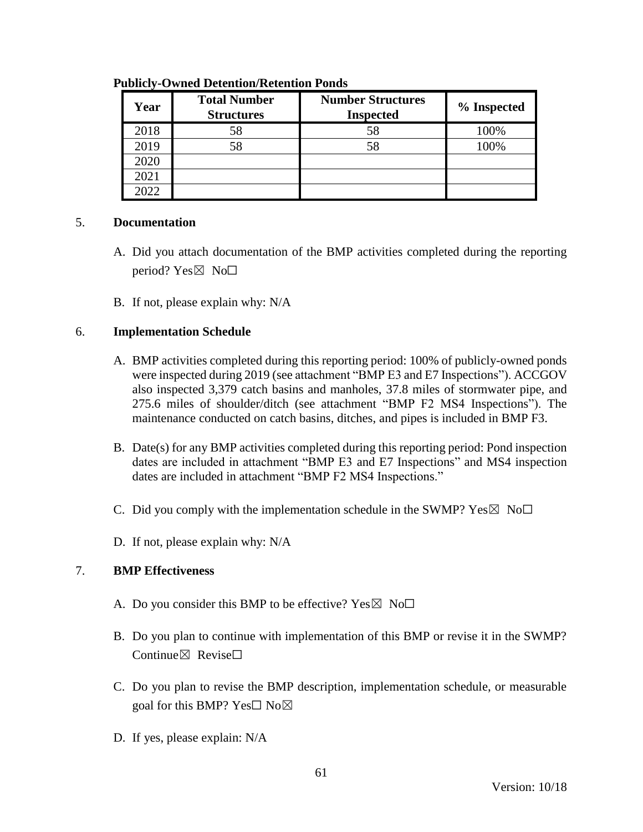| Year | <b>Total Number</b><br><b>Structures</b> | <b>Number Structures</b><br><b>Inspected</b> | % Inspected |
|------|------------------------------------------|----------------------------------------------|-------------|
| 2018 | 58                                       | 58                                           | 100%        |
| 2019 | 58                                       | 58                                           | 100%        |
| 2020 |                                          |                                              |             |
| 2021 |                                          |                                              |             |
| 2022 |                                          |                                              |             |

#### **Publicly-Owned Detention/Retention Ponds**

### 5. **Documentation**

- A. Did you attach documentation of the BMP activities completed during the reporting period? Yes $\boxtimes$  No $\square$
- B. If not, please explain why: N/A

## 6. **Implementation Schedule**

- A. BMP activities completed during this reporting period: 100% of publicly-owned ponds were inspected during 2019 (see attachment "BMP E3 and E7 Inspections"). ACCGOV also inspected 3,379 catch basins and manholes, 37.8 miles of stormwater pipe, and 275.6 miles of shoulder/ditch (see attachment "BMP F2 MS4 Inspections"). The maintenance conducted on catch basins, ditches, and pipes is included in BMP F3.
- B. Date(s) for any BMP activities completed during this reporting period: Pond inspection dates are included in attachment "BMP E3 and E7 Inspections" and MS4 inspection dates are included in attachment "BMP F2 MS4 Inspections."
- C. Did you comply with the implementation schedule in the SWMP?  $Yes \boxtimes No \Box$
- D. If not, please explain why: N/A

- A. Do you consider this BMP to be effective? Yes $\boxtimes$  No $\Box$
- B. Do you plan to continue with implementation of this BMP or revise it in the SWMP? Continue $\boxtimes$  Revise $\Box$
- C. Do you plan to revise the BMP description, implementation schedule, or measurable goal for this BMP? Yes□ No⊠
- D. If yes, please explain: N/A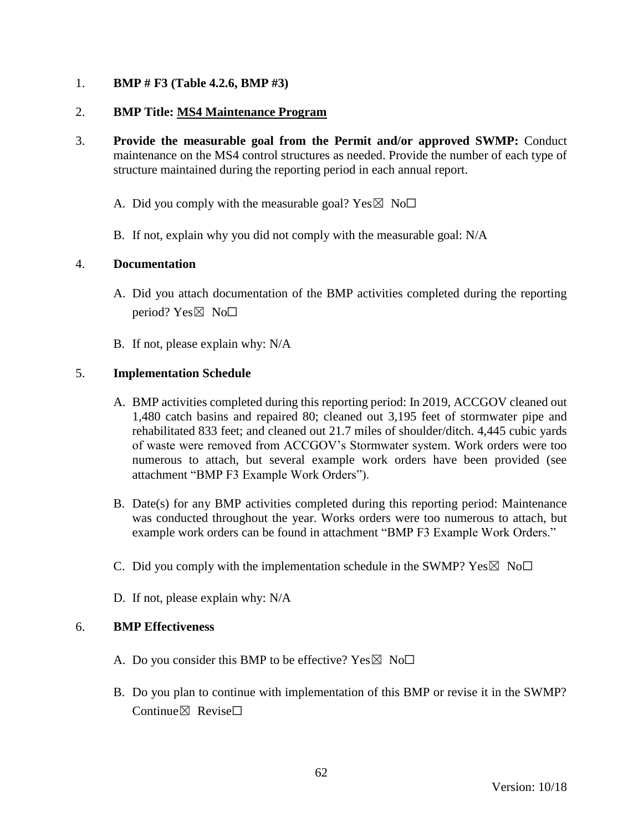## 1. **BMP # F3 (Table 4.2.6, BMP #3)**

## 2. **BMP Title: MS4 Maintenance Program**

- 3. **Provide the measurable goal from the Permit and/or approved SWMP:** Conduct maintenance on the MS4 control structures as needed. Provide the number of each type of structure maintained during the reporting period in each annual report.
	- A. Did you comply with the measurable goal? Yes  $\boxtimes$  No $\Box$
	- B. If not, explain why you did not comply with the measurable goal: N/A

## 4. **Documentation**

- A. Did you attach documentation of the BMP activities completed during the reporting period? Yes⊠ No□
- B. If not, please explain why: N/A

## 5. **Implementation Schedule**

- A. BMP activities completed during this reporting period: In 2019, ACCGOV cleaned out 1,480 catch basins and repaired 80; cleaned out 3,195 feet of stormwater pipe and rehabilitated 833 feet; and cleaned out 21.7 miles of shoulder/ditch. 4,445 cubic yards of waste were removed from ACCGOV's Stormwater system. Work orders were too numerous to attach, but several example work orders have been provided (see attachment "BMP F3 Example Work Orders").
- B. Date(s) for any BMP activities completed during this reporting period: Maintenance was conducted throughout the year. Works orders were too numerous to attach, but example work orders can be found in attachment "BMP F3 Example Work Orders."
- C. Did you comply with the implementation schedule in the SWMP?  $Yes \boxtimes No \Box$
- D. If not, please explain why: N/A

- A. Do you consider this BMP to be effective? Yes  $\boxtimes$  No $\Box$
- B. Do you plan to continue with implementation of this BMP or revise it in the SWMP? Continue $\boxtimes$  Revise $\Box$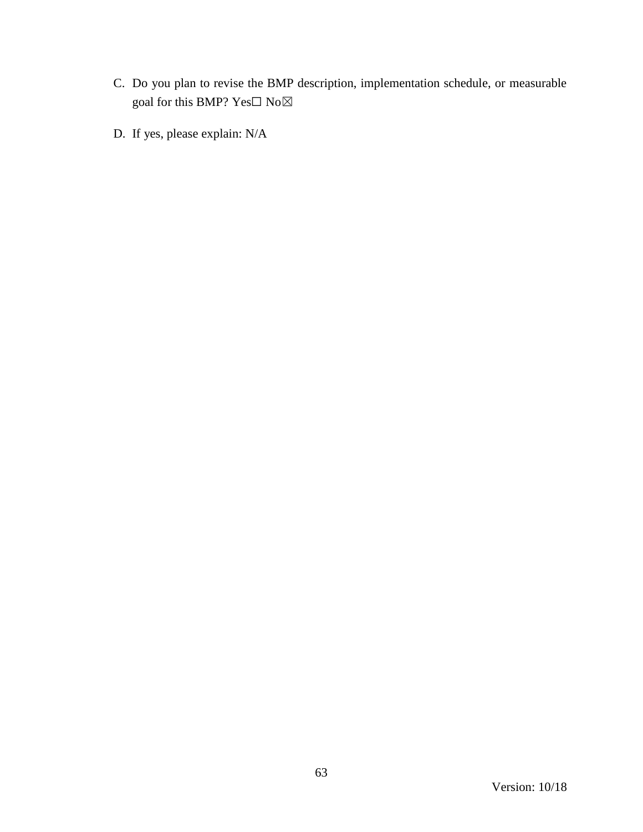- C. Do you plan to revise the BMP description, implementation schedule, or measurable goal for this BMP?  $\mathrm{Yes}\square$   $\mathrm{No}\boxtimes$
- D. If yes, please explain: N/A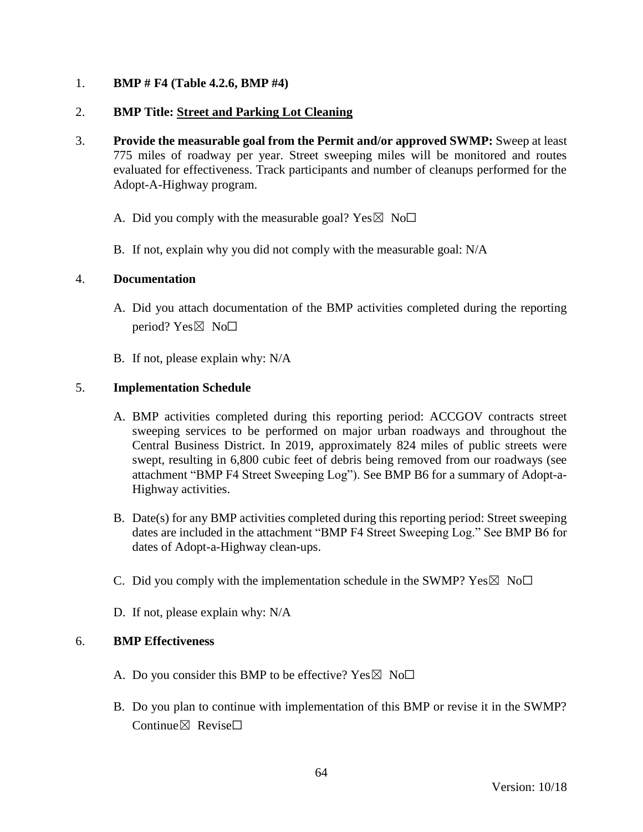## 1. **BMP # F4 (Table 4.2.6, BMP #4)**

## 2. **BMP Title: Street and Parking Lot Cleaning**

- 3. **Provide the measurable goal from the Permit and/or approved SWMP:** Sweep at least 775 miles of roadway per year. Street sweeping miles will be monitored and routes evaluated for effectiveness. Track participants and number of cleanups performed for the Adopt-A-Highway program.
	- A. Did you comply with the measurable goal? Yes  $\boxtimes$  No $\Box$
	- B. If not, explain why you did not comply with the measurable goal: N/A

### 4. **Documentation**

- A. Did you attach documentation of the BMP activities completed during the reporting period? Yes $\boxtimes$  No $\square$
- B. If not, please explain why: N/A

## 5. **Implementation Schedule**

- A. BMP activities completed during this reporting period: ACCGOV contracts street sweeping services to be performed on major urban roadways and throughout the Central Business District. In 2019, approximately 824 miles of public streets were swept, resulting in 6,800 cubic feet of debris being removed from our roadways (see attachment "BMP F4 Street Sweeping Log"). See BMP B6 for a summary of Adopt-a-Highway activities.
- B. Date(s) for any BMP activities completed during this reporting period: Street sweeping dates are included in the attachment "BMP F4 Street Sweeping Log." See BMP B6 for dates of Adopt-a-Highway clean-ups.
- C. Did you comply with the implementation schedule in the SWMP?  $Yes \boxtimes No \square$
- D. If not, please explain why: N/A

- A. Do you consider this BMP to be effective? Yes  $\boxtimes$  No $\Box$
- B. Do you plan to continue with implementation of this BMP or revise it in the SWMP? Continue $\nabla$  Revise $\nabla$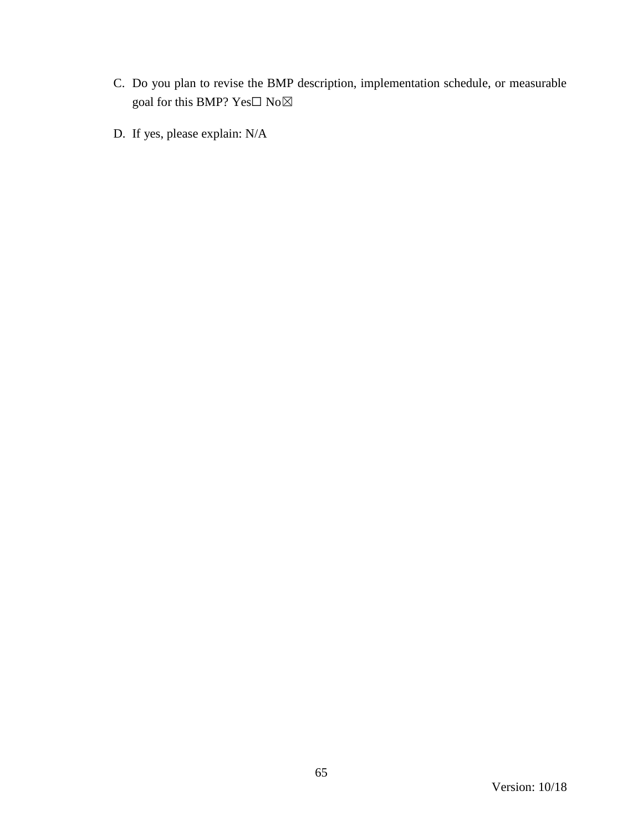- C. Do you plan to revise the BMP description, implementation schedule, or measurable goal for this BMP?  $\mathrm{Yes}\square$   $\mathrm{No}\boxtimes$
- D. If yes, please explain: N/A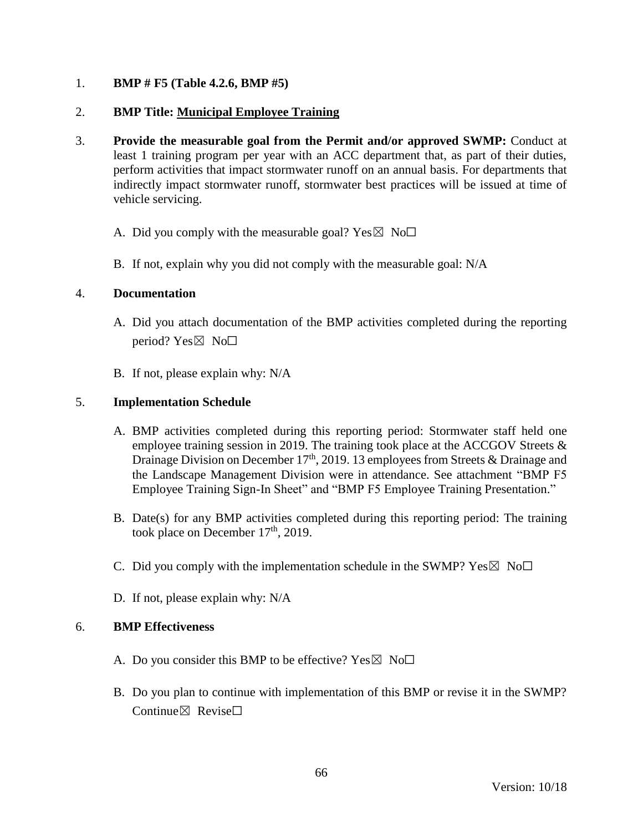## 1. **BMP # F5 (Table 4.2.6, BMP #5)**

## 2. **BMP Title: Municipal Employee Training**

- 3. **Provide the measurable goal from the Permit and/or approved SWMP:** Conduct at least 1 training program per year with an ACC department that, as part of their duties, perform activities that impact stormwater runoff on an annual basis. For departments that indirectly impact stormwater runoff, stormwater best practices will be issued at time of vehicle servicing.
	- A. Did you comply with the measurable goal? Yes  $\boxtimes$  No $\Box$
	- B. If not, explain why you did not comply with the measurable goal: N/A

### 4. **Documentation**

- A. Did you attach documentation of the BMP activities completed during the reporting period?  $Yes \boxtimes No \Box$
- B. If not, please explain why: N/A

## 5. **Implementation Schedule**

- A. BMP activities completed during this reporting period: Stormwater staff held one employee training session in 2019. The training took place at the ACCGOV Streets  $\&$ Drainage Division on December  $17<sup>th</sup>$ , 2019. 13 employees from Streets & Drainage and the Landscape Management Division were in attendance. See attachment "BMP F5 Employee Training Sign-In Sheet" and "BMP F5 Employee Training Presentation."
- B. Date(s) for any BMP activities completed during this reporting period: The training took place on December  $17<sup>th</sup>$ , 2019.
- C. Did you comply with the implementation schedule in the SWMP?  $Yes \boxtimes No \Box$
- D. If not, please explain why: N/A

- A. Do you consider this BMP to be effective? Yes  $\boxtimes$  No $\Box$
- B. Do you plan to continue with implementation of this BMP or revise it in the SWMP? Continue $\boxtimes$  Revise $\Box$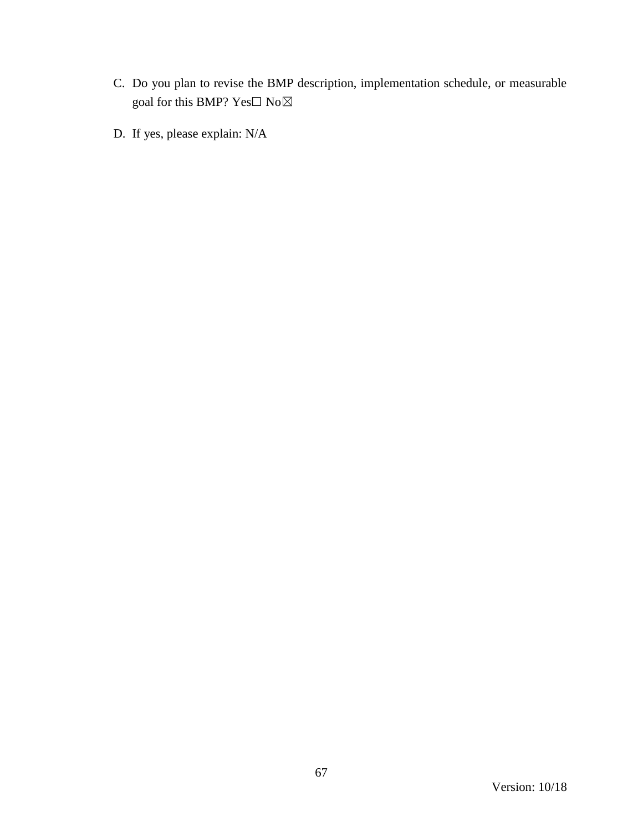- C. Do you plan to revise the BMP description, implementation schedule, or measurable goal for this BMP?  $\mathrm{Yes}\square$   $\mathrm{No}\boxtimes$
- D. If yes, please explain: N/A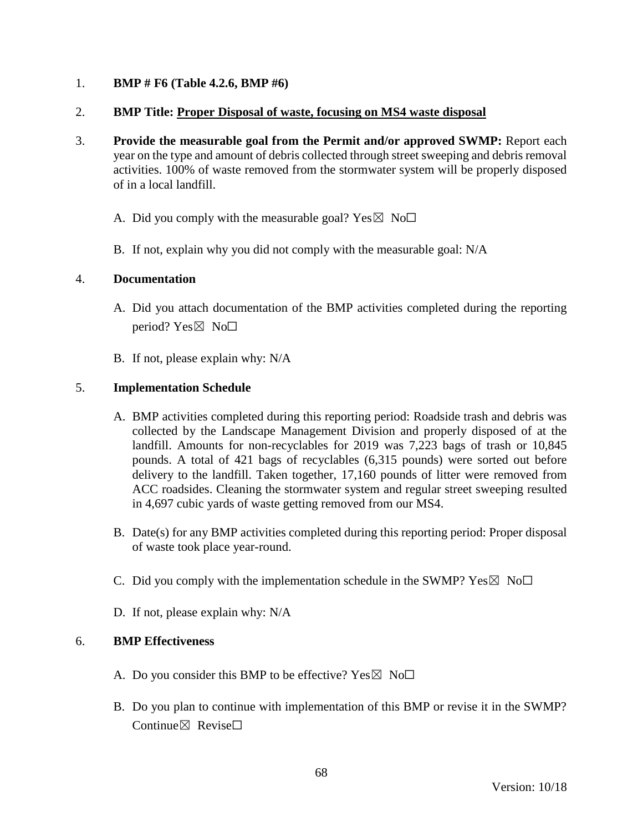## 1. **BMP # F6 (Table 4.2.6, BMP #6)**

## 2. **BMP Title: Proper Disposal of waste, focusing on MS4 waste disposal**

- 3. **Provide the measurable goal from the Permit and/or approved SWMP:** Report each year on the type and amount of debris collected through street sweeping and debris removal activities. 100% of waste removed from the stormwater system will be properly disposed of in a local landfill.
	- A. Did you comply with the measurable goal? Yes  $\boxtimes$  No $\Box$
	- B. If not, explain why you did not comply with the measurable goal: N/A

### 4. **Documentation**

- A. Did you attach documentation of the BMP activities completed during the reporting period? Yes $\boxtimes$  No $\square$
- B. If not, please explain why: N/A

## 5. **Implementation Schedule**

- A. BMP activities completed during this reporting period: Roadside trash and debris was collected by the Landscape Management Division and properly disposed of at the landfill. Amounts for non-recyclables for 2019 was 7,223 bags of trash or 10,845 pounds. A total of 421 bags of recyclables (6,315 pounds) were sorted out before delivery to the landfill. Taken together, 17,160 pounds of litter were removed from ACC roadsides. Cleaning the stormwater system and regular street sweeping resulted in 4,697 cubic yards of waste getting removed from our MS4.
- B. Date(s) for any BMP activities completed during this reporting period: Proper disposal of waste took place year-round.
- C. Did you comply with the implementation schedule in the SWMP?  $Yes \boxtimes No \square$
- D. If not, please explain why: N/A

- A. Do you consider this BMP to be effective? Yes  $\boxtimes$  No $\Box$
- B. Do you plan to continue with implementation of this BMP or revise it in the SWMP? Continue $\nabla$  Revise $\nabla$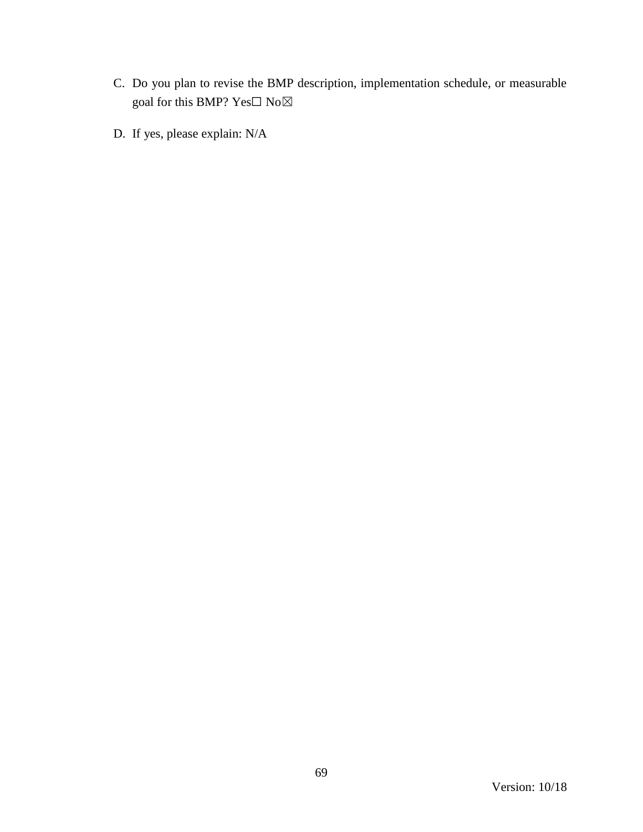- C. Do you plan to revise the BMP description, implementation schedule, or measurable goal for this BMP?  $\mathrm{Yes}\square$   $\mathrm{No}\boxtimes$
- D. If yes, please explain: N/A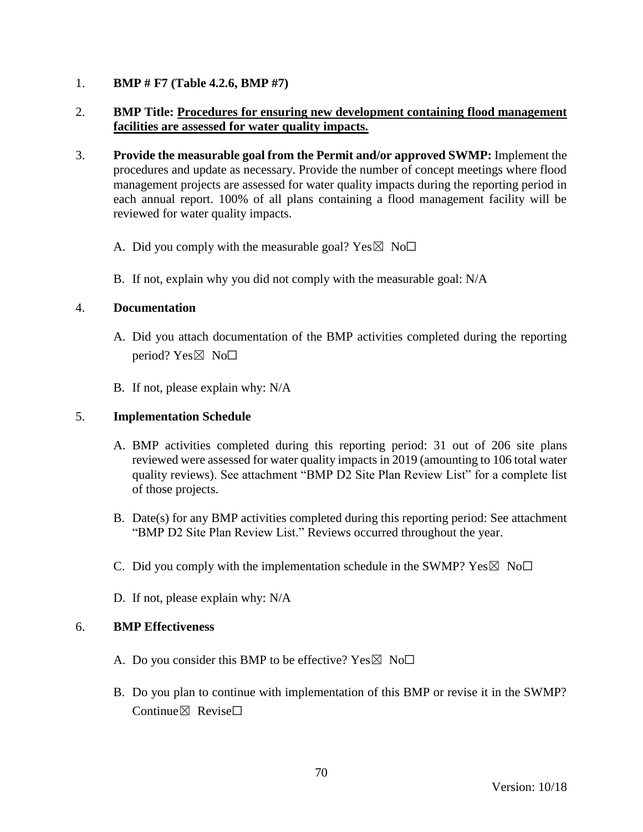## 1. **BMP # F7 (Table 4.2.6, BMP #7)**

# 2. **BMP Title: Procedures for ensuring new development containing flood management facilities are assessed for water quality impacts.**

- 3. **Provide the measurable goal from the Permit and/or approved SWMP:** Implement the procedures and update as necessary. Provide the number of concept meetings where flood management projects are assessed for water quality impacts during the reporting period in each annual report. 100% of all plans containing a flood management facility will be reviewed for water quality impacts.
	- A. Did you comply with the measurable goal? Yes  $\boxtimes$  No $\Box$
	- B. If not, explain why you did not comply with the measurable goal: N/A

### 4. **Documentation**

- A. Did you attach documentation of the BMP activities completed during the reporting period? Yes $\boxtimes$  No $\square$
- B. If not, please explain why: N/A

### 5. **Implementation Schedule**

- A. BMP activities completed during this reporting period: 31 out of 206 site plans reviewed were assessed for water quality impacts in 2019 (amounting to 106 total water quality reviews). See attachment "BMP D2 Site Plan Review List" for a complete list of those projects.
- B. Date(s) for any BMP activities completed during this reporting period: See attachment "BMP D2 Site Plan Review List." Reviews occurred throughout the year.
- C. Did you comply with the implementation schedule in the SWMP?  $Yes \boxtimes No \Box$
- D. If not, please explain why: N/A

- A. Do you consider this BMP to be effective? Yes  $\boxtimes$  No $\Box$
- B. Do you plan to continue with implementation of this BMP or revise it in the SWMP? Continue $\boxtimes$  Revise $\Box$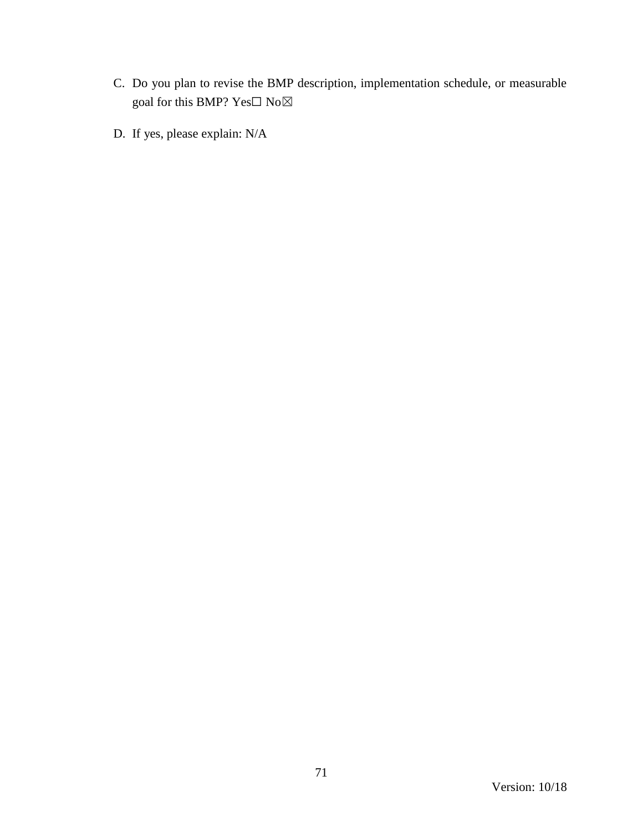- C. Do you plan to revise the BMP description, implementation schedule, or measurable goal for this BMP?  $\mathrm{Yes}\square$   $\mathrm{No}\boxtimes$
- D. If yes, please explain: N/A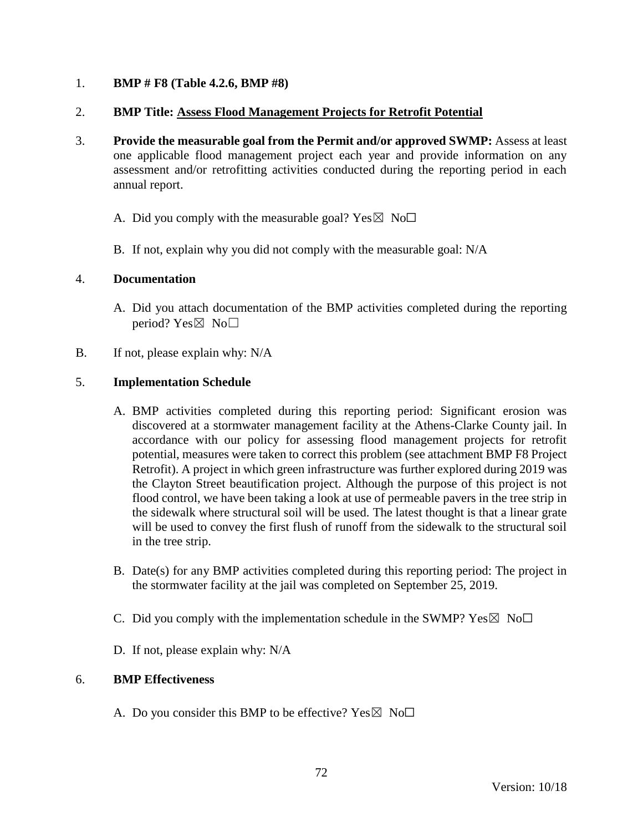## 1. **BMP # F8 (Table 4.2.6, BMP #8)**

## 2. **BMP Title: Assess Flood Management Projects for Retrofit Potential**

- 3. **Provide the measurable goal from the Permit and/or approved SWMP:** Assess at least one applicable flood management project each year and provide information on any assessment and/or retrofitting activities conducted during the reporting period in each annual report.
	- A. Did you comply with the measurable goal? Yes  $\boxtimes$  No $\Box$
	- B. If not, explain why you did not comply with the measurable goal: N/A

### 4. **Documentation**

- A. Did you attach documentation of the BMP activities completed during the reporting period? Yes $\boxtimes$  No $\square$
- B. If not, please explain why: N/A

## 5. **Implementation Schedule**

- A. BMP activities completed during this reporting period: Significant erosion was discovered at a stormwater management facility at the Athens-Clarke County jail. In accordance with our policy for assessing flood management projects for retrofit potential, measures were taken to correct this problem (see attachment BMP F8 Project Retrofit). A project in which green infrastructure was further explored during 2019 was the Clayton Street beautification project. Although the purpose of this project is not flood control, we have been taking a look at use of permeable pavers in the tree strip in the sidewalk where structural soil will be used. The latest thought is that a linear grate will be used to convey the first flush of runoff from the sidewalk to the structural soil in the tree strip.
- B. Date(s) for any BMP activities completed during this reporting period: The project in the stormwater facility at the jail was completed on September 25, 2019.
- C. Did you comply with the implementation schedule in the SWMP?  $Yes \boxtimes No \Box$
- D. If not, please explain why: N/A

### 6. **BMP Effectiveness**

A. Do you consider this BMP to be effective? Yes  $\boxtimes$  No $\Box$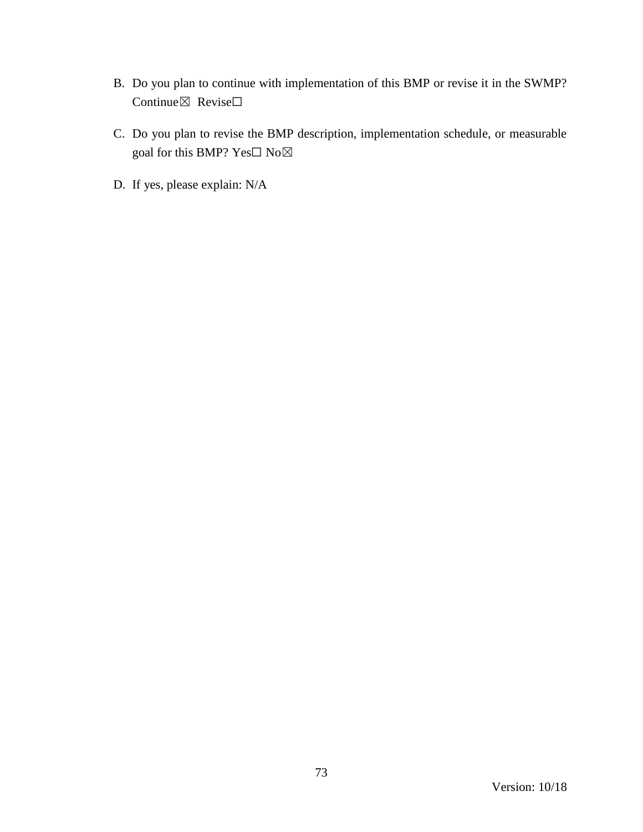- B. Do you plan to continue with implementation of this BMP or revise it in the SWMP? Continue⊠ Revise□
- C. Do you plan to revise the BMP description, implementation schedule, or measurable goal for this BMP? Yes $\Box$  No $\boxtimes$
- D. If yes, please explain: N/A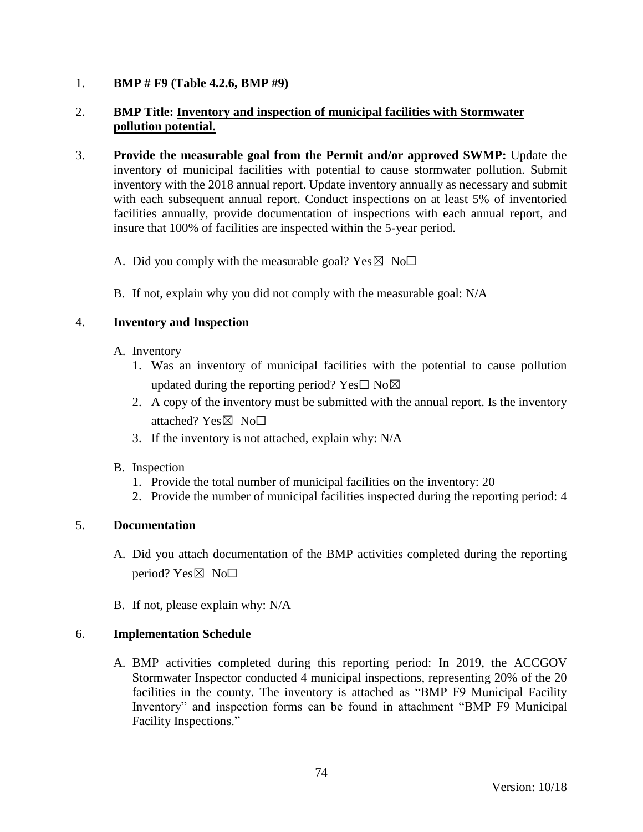### 1. **BMP # F9 (Table 4.2.6, BMP #9)**

# 2. **BMP Title: Inventory and inspection of municipal facilities with Stormwater pollution potential.**

- 3. **Provide the measurable goal from the Permit and/or approved SWMP:** Update the inventory of municipal facilities with potential to cause stormwater pollution. Submit inventory with the 2018 annual report. Update inventory annually as necessary and submit with each subsequent annual report. Conduct inspections on at least 5% of inventoried facilities annually, provide documentation of inspections with each annual report, and insure that 100% of facilities are inspected within the 5-year period.
	- A. Did you comply with the measurable goal? Yes  $\boxtimes$  No $\Box$
	- B. If not, explain why you did not comply with the measurable goal: N/A

### 4. **Inventory and Inspection**

- A. Inventory
	- 1. Was an inventory of municipal facilities with the potential to cause pollution updated during the reporting period? Yes $\square$  No $\boxtimes$
	- 2. A copy of the inventory must be submitted with the annual report. Is the inventory attached? Yes⊠ No□
	- 3. If the inventory is not attached, explain why: N/A
- B. Inspection
	- 1. Provide the total number of municipal facilities on the inventory: 20
	- 2. Provide the number of municipal facilities inspected during the reporting period: 4

# 5. **Documentation**

- A. Did you attach documentation of the BMP activities completed during the reporting period? Yes $\boxtimes$  No $\square$
- B. If not, please explain why: N/A

#### 6. **Implementation Schedule**

A. BMP activities completed during this reporting period: In 2019, the ACCGOV Stormwater Inspector conducted 4 municipal inspections, representing 20% of the 20 facilities in the county. The inventory is attached as "BMP F9 Municipal Facility Inventory" and inspection forms can be found in attachment "BMP F9 Municipal Facility Inspections."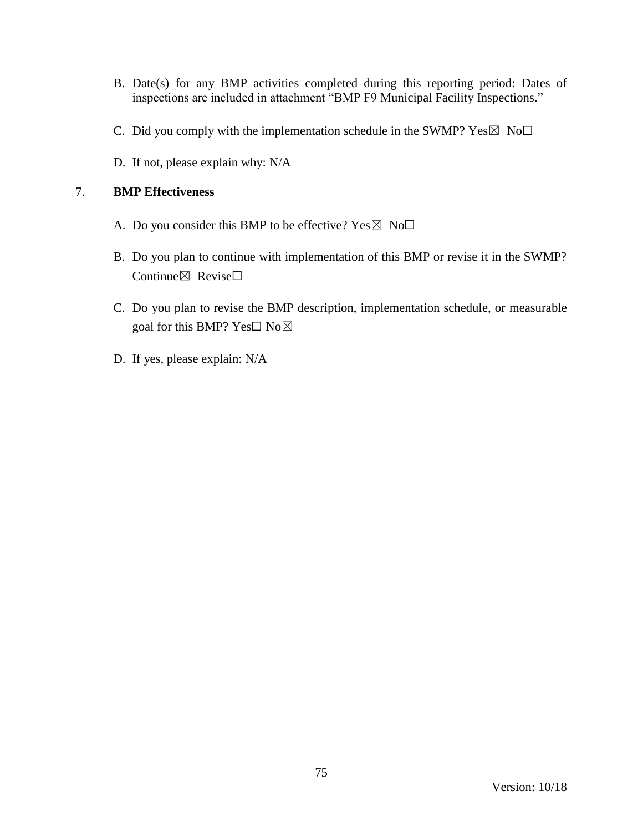- B. Date(s) for any BMP activities completed during this reporting period: Dates of inspections are included in attachment "BMP F9 Municipal Facility Inspections."
- C. Did you comply with the implementation schedule in the SWMP?  $Yes \boxtimes No \Box$
- D. If not, please explain why: N/A

# 7. **BMP Effectiveness**

- A. Do you consider this BMP to be effective? Yes  $\boxtimes$  No $\Box$
- B. Do you plan to continue with implementation of this BMP or revise it in the SWMP? Continue $\boxtimes$  Revise $\Box$
- C. Do you plan to revise the BMP description, implementation schedule, or measurable goal for this BMP? Yes□ No⊠
- D. If yes, please explain: N/A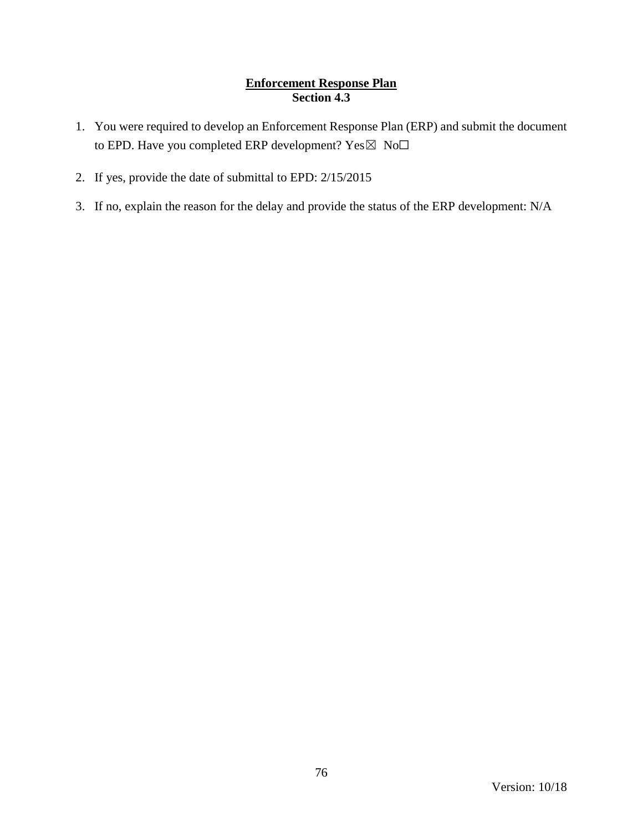# **Enforcement Response Plan Section 4.3**

- 1. You were required to develop an Enforcement Response Plan (ERP) and submit the document to EPD. Have you completed ERP development? Yes⊠ No□
- 2. If yes, provide the date of submittal to EPD: 2/15/2015
- 3. If no, explain the reason for the delay and provide the status of the ERP development: N/A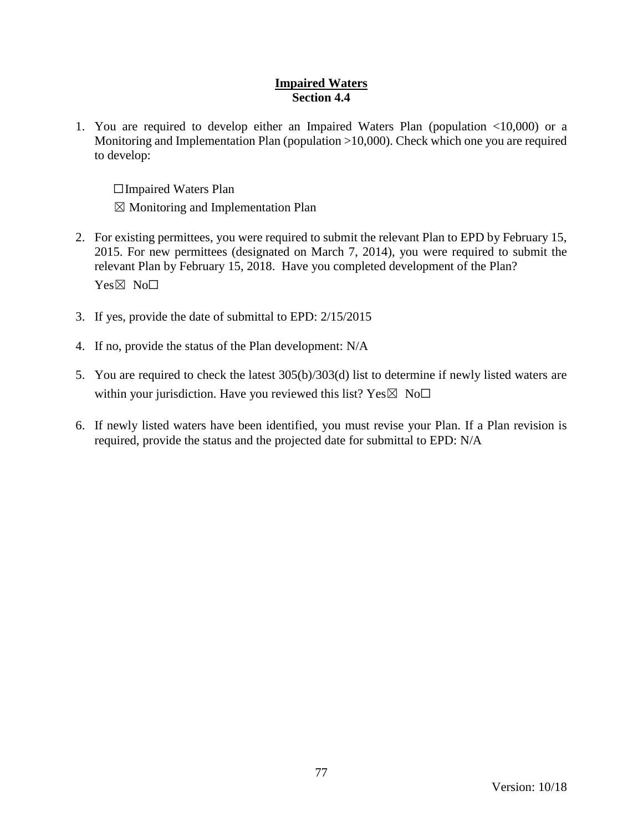### **Impaired Waters Section 4.4**

1. You are required to develop either an Impaired Waters Plan (population <10,000) or a Monitoring and Implementation Plan (population >10,000). Check which one you are required to develop:

☐Impaired Waters Plan

 $\boxtimes$  Monitoring and Implementation Plan

- 2. For existing permittees, you were required to submit the relevant Plan to EPD by February 15, 2015. For new permittees (designated on March 7, 2014), you were required to submit the relevant Plan by February 15, 2018. Have you completed development of the Plan? Yes⊠ No<sub>□</sub>
- 3. If yes, provide the date of submittal to EPD: 2/15/2015
- 4. If no, provide the status of the Plan development: N/A
- 5. You are required to check the latest 305(b)/303(d) list to determine if newly listed waters are within your jurisdiction. Have you reviewed this list?  $Yes \boxtimes No\square$
- 6. If newly listed waters have been identified, you must revise your Plan. If a Plan revision is required, provide the status and the projected date for submittal to EPD: N/A